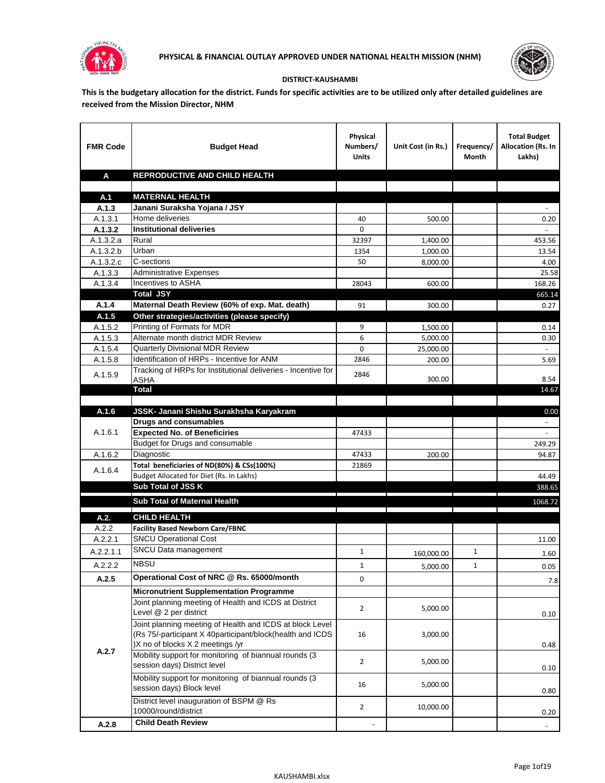



## **DISTRICT-KAUSHAMBI**

**This is the budgetary allocation for the district. Funds for specific activities are to be utilized only after detailed guidelines are received from the Mission Director, NHM**

| <b>FMR Code</b>    | <b>Budget Head</b>                                                     | Physical<br>Numbers/<br><b>Units</b> | Unit Cost (in Rs.) | Frequency/<br>Month | <b>Total Budget</b><br>Allocation (Rs. In<br>Lakhs) |
|--------------------|------------------------------------------------------------------------|--------------------------------------|--------------------|---------------------|-----------------------------------------------------|
| A                  | REPRODUCTIVE AND CHILD HEALTH                                          |                                      |                    |                     |                                                     |
|                    |                                                                        |                                      |                    |                     |                                                     |
| A.1                | <b>MATERNAL HEALTH</b>                                                 |                                      |                    |                     |                                                     |
| A.1.3              | Janani Suraksha Yojana / JSY                                           |                                      |                    |                     |                                                     |
| A.1.3.1            | Home deliveries                                                        | 40                                   | 500.00             |                     | 0.20                                                |
| A.1.3.2            | <b>Institutional deliveries</b>                                        | 0                                    |                    |                     |                                                     |
| A.1.3.2.a          | Rural                                                                  | 32397                                | 1,400.00           |                     | 453.56                                              |
| A.1.3.2.b          | Urban                                                                  | 1354                                 | 1,000.00           |                     | 13.54                                               |
| A.1.3.2.c          | C-sections<br><b>Administrative Expenses</b>                           | 50                                   | 8,000.00           |                     | 4.00                                                |
| A.1.3.3<br>A.1.3.4 | Incentives to ASHA                                                     | 28043                                | 600.00             |                     | 25.58<br>168.26                                     |
|                    | <b>Total JSY</b>                                                       |                                      |                    |                     | 665.14                                              |
| A.1.4              | Maternal Death Review (60% of exp. Mat. death)                         | 91                                   | 300.00             |                     | 0.27                                                |
| A.1.5              | Other strategies/activities (please specify)                           |                                      |                    |                     |                                                     |
| A.1.5.2            | Printing of Formats for MDR                                            | 9                                    | 1.500.00           |                     | 0.14                                                |
| A.1.5.3            | Alternate month district MDR Review                                    | 6                                    | 5,000.00           |                     | 0.30                                                |
| A.1.5.4            | <b>Quarterly Divisional MDR Review</b>                                 | 0                                    | 25,000.00          |                     |                                                     |
| A.1.5.8            | Identification of HRPs - Incentive for ANM                             | 2846                                 | 200.00             |                     | 5.69                                                |
| A.1.5.9            | Tracking of HRPs for Institutional deliveries - Incentive for          | 2846                                 |                    |                     |                                                     |
|                    | <b>ASHA</b>                                                            |                                      | 300.00             |                     | 8.54                                                |
|                    | <b>Total</b>                                                           |                                      |                    |                     | 14.67                                               |
|                    |                                                                        |                                      |                    |                     |                                                     |
| A.1.6              | JSSK- Janani Shishu Surakhsha Karyakram                                |                                      |                    |                     | 0.00                                                |
|                    | <b>Drugs and consumables</b>                                           |                                      |                    |                     |                                                     |
| A.1.6.1            | <b>Expected No. of Beneficiries</b><br>Budget for Drugs and consumable | 47433                                |                    |                     |                                                     |
| A.1.6.2            | Diagnostic                                                             | 47433                                | 200.00             |                     | 249.29<br>94.87                                     |
|                    | Total beneficiaries of ND(80%) & CSs(100%)                             | 21869                                |                    |                     |                                                     |
| A.1.6.4            | Budget Allocated for Diet (Rs. In Lakhs)                               |                                      |                    |                     | 44.49                                               |
|                    | Sub Total of JSS K                                                     |                                      |                    |                     | 388.65                                              |
|                    |                                                                        |                                      |                    |                     |                                                     |
|                    | Sub Total of Maternal Health                                           |                                      |                    |                     | 1068.72                                             |
| A.2.               | <b>CHILD HEALTH</b>                                                    |                                      |                    |                     |                                                     |
| A.2.2              | <b>Facility Based Newborn Care/FBNC</b>                                |                                      |                    |                     |                                                     |
| A.2.2.1            | <b>SNCU Operational Cost</b>                                           |                                      |                    |                     | 11.00                                               |
| A.2.2.1.1          | SNCU Data management                                                   | $\mathbf{1}$                         | 160,000.00         | $\mathbf{1}$        | 1.60                                                |
| A.2.2.2            | <b>NBSU</b>                                                            | 1                                    | 5,000.00           | 1                   | 0.05                                                |
| A.2.5              | Operational Cost of NRC @ Rs. 65000/month                              | 0                                    |                    |                     | 7.8                                                 |
|                    | <b>Micronutrient Supplementation Programme</b>                         |                                      |                    |                     |                                                     |
|                    | Joint planning meeting of Health and ICDS at District                  |                                      |                    |                     |                                                     |
|                    | Level @ 2 per district                                                 | $\overline{2}$                       | 5,000.00           |                     | 0.10                                                |
|                    | Joint planning meeting of Health and ICDS at block Level               |                                      |                    |                     |                                                     |
|                    | (Rs 75/-participant X 40participant/block(health and ICDS              | 16                                   | 3,000.00           |                     |                                                     |
|                    | )X no of blocks X 2 meetings /yr                                       |                                      |                    |                     | 0.48                                                |
| A.2.7              | Mobility support for monitoring of biannual rounds (3                  |                                      |                    |                     |                                                     |
|                    | session days) District level                                           | $\overline{2}$                       | 5,000.00           |                     | 0.10                                                |
|                    | Mobility support for monitoring of biannual rounds (3                  |                                      |                    |                     |                                                     |
|                    | session days) Block level                                              | 16                                   | 5,000.00           |                     | 0.80                                                |
|                    | District level inauguration of BSPM @ Rs                               | $\overline{2}$                       | 10,000.00          |                     |                                                     |
|                    | 10000/round/district                                                   |                                      |                    |                     | 0.20                                                |
| A.2.8              | <b>Child Death Review</b>                                              |                                      |                    |                     | $\overline{\phantom{a}}$                            |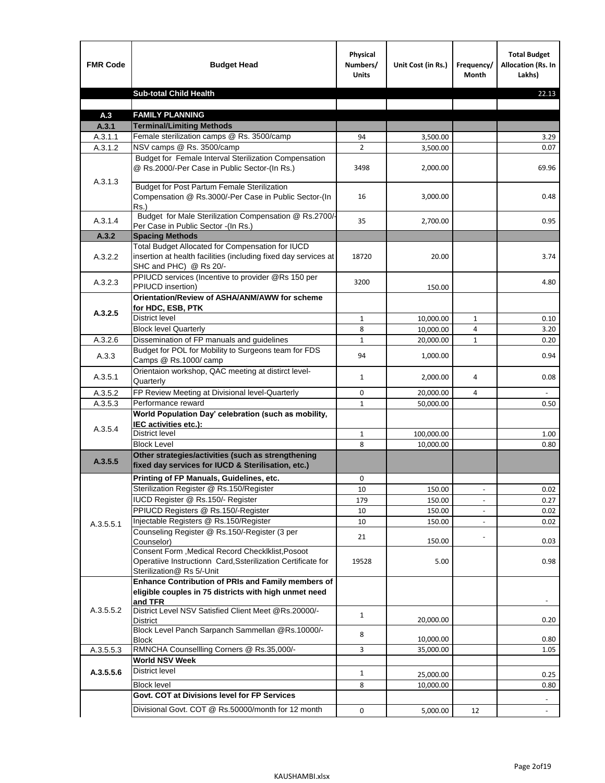| <b>FMR Code</b> | <b>Budget Head</b>                                                                                                                             | Physical<br>Numbers/<br><b>Units</b> | Unit Cost (in Rs.) | Frequency/<br><b>Month</b> | <b>Total Budget</b><br>Allocation (Rs. In<br>Lakhs) |
|-----------------|------------------------------------------------------------------------------------------------------------------------------------------------|--------------------------------------|--------------------|----------------------------|-----------------------------------------------------|
|                 | <b>Sub-total Child Health</b>                                                                                                                  |                                      |                    |                            | 22.13                                               |
|                 |                                                                                                                                                |                                      |                    |                            |                                                     |
| A.3             | <b>FAMILY PLANNING</b>                                                                                                                         |                                      |                    |                            |                                                     |
| A.3.1           | <b>Terminal/Limiting Methods</b>                                                                                                               |                                      |                    |                            |                                                     |
| A.3.1.1         | Female sterilization camps @ Rs. 3500/camp                                                                                                     | 94                                   | 3,500.00           |                            | 3.29                                                |
| A.3.1.2         | NSV camps @ Rs. 3500/camp<br>Budget for Female Interval Sterilization Compensation                                                             | $\overline{2}$                       | 3,500.00           |                            | 0.07                                                |
| A.3.1.3         | @ Rs.2000/-Per Case in Public Sector-(In Rs.)                                                                                                  | 3498                                 | 2,000.00           |                            | 69.96                                               |
|                 | <b>Budget for Post Partum Female Sterilization</b><br>Compensation @ Rs.3000/-Per Case in Public Sector-(In<br>$Rs.$ )                         | 16                                   | 3,000.00           |                            | 0.48                                                |
| A.3.1.4         | Budget for Male Sterilization Compensation @ Rs.2700/-<br>Per Case in Public Sector -(In Rs.)                                                  | 35                                   | 2,700.00           |                            | 0.95                                                |
| A.3.2           | <b>Spacing Methods</b>                                                                                                                         |                                      |                    |                            |                                                     |
| A.3.2.2         | Total Budget Allocated for Compensation for IUCD<br>insertion at health facilities (including fixed day services at<br>SHC and PHC) @ Rs 20/-  | 18720                                | 20.00              |                            | 3.74                                                |
| A.3.2.3         | PPIUCD services (Incentive to provider @Rs 150 per<br>PPIUCD insertion)                                                                        | 3200                                 | 150.00             |                            | 4.80                                                |
| A.3.2.5         | Orientation/Review of ASHA/ANM/AWW for scheme<br>for HDC, ESB, PTK                                                                             |                                      |                    |                            |                                                     |
|                 | <b>District level</b>                                                                                                                          | $\mathbf{1}$                         | 10,000.00          | $\mathbf{1}$               | 0.10                                                |
|                 | <b>Block level Quarterly</b>                                                                                                                   | 8                                    | 10,000.00          | 4                          | 3.20                                                |
| A.3.2.6         | Dissemination of FP manuals and guidelines                                                                                                     | $\mathbf{1}$                         | 20,000.00          | $\mathbf{1}$               | 0.20                                                |
| A.3.3           | Budget for POL for Mobility to Surgeons team for FDS<br>Camps @ Rs.1000/ camp                                                                  | 94                                   | 1,000.00           |                            | 0.94                                                |
| A.3.5.1         | Orientaion workshop, QAC meeting at distirct level-<br>Quarterly                                                                               | $\mathbf{1}$                         | 2,000.00           | 4                          | 0.08                                                |
| A.3.5.2         | FP Review Meeting at Divisional level-Quarterly                                                                                                | 0                                    | 20,000.00          | 4                          |                                                     |
| A.3.5.3         | Performance reward                                                                                                                             | $\mathbf{1}$                         | 50,000.00          |                            | 0.50                                                |
| A.3.5.4         | World Population Day' celebration (such as mobility,<br>IEC activities etc.):                                                                  |                                      |                    |                            |                                                     |
|                 | District level                                                                                                                                 | $\mathbf{1}$                         | 100,000.00         |                            | 1.00                                                |
|                 | <b>Block Level</b>                                                                                                                             | 8                                    | 10,000.00          |                            | 0.80                                                |
| A.3.5.5         | Other strategies/activities (such as strengthening<br>fixed day services for IUCD & Sterilisation, etc.)                                       |                                      |                    |                            |                                                     |
|                 | Printing of FP Manuals, Guidelines, etc.                                                                                                       | 0                                    |                    |                            |                                                     |
|                 | Sterilization Register @ Rs.150/Register                                                                                                       | 10                                   | 150.00             | $\centerdot$               | 0.02                                                |
|                 | IUCD Register @ Rs.150/- Register                                                                                                              | 179                                  | 150.00             |                            | 0.27                                                |
|                 | PPIUCD Registers @ Rs.150/-Register                                                                                                            | 10                                   | 150.00             |                            | 0.02                                                |
| A.3.5.5.1       | Injectable Registers @ Rs.150/Register                                                                                                         | 10                                   | 150.00             |                            | 0.02                                                |
|                 | Counseling Register @ Rs.150/-Register (3 per<br>Counselor)                                                                                    | 21                                   | 150.00             |                            | 0.03                                                |
|                 | Consent Form , Medical Record CheckIklist, Posoot<br>Operatiive Instructionn Card, Ssterilization Certificate for<br>Sterilization@ Rs 5/-Unit | 19528                                | 5.00               |                            | 0.98                                                |
|                 | Enhance Contribution of PRIs and Family members of<br>eligible couples in 75 districts with high unmet need<br>and TFR                         |                                      |                    |                            |                                                     |
| A.3.5.5.2       | District Level NSV Satisfied Client Meet @Rs.20000/-<br>District                                                                               | $\mathbf{1}$                         | 20,000.00          |                            | 0.20                                                |
|                 | Block Level Panch Sarpanch Sammellan @Rs.10000/-<br><b>Block</b>                                                                               | 8                                    | 10,000.00          |                            | 0.80                                                |
| A.3.5.5.3       | RMNCHA Counsellling Corners @ Rs.35,000/-                                                                                                      | 3                                    | 35,000.00          |                            | 1.05                                                |
|                 | <b>World NSV Week</b>                                                                                                                          |                                      |                    |                            |                                                     |
| A.3.5.5.6       | <b>District level</b>                                                                                                                          | $\mathbf{1}$                         | 25,000.00          |                            | 0.25                                                |
|                 | <b>Block level</b>                                                                                                                             | 8                                    | 10,000.00          |                            | 0.80                                                |
|                 | Govt. COT at Divisions level for FP Services                                                                                                   |                                      |                    |                            |                                                     |
|                 | Divisional Govt. COT @ Rs.50000/month for 12 month                                                                                             | 0                                    | 5,000.00           | 12                         | $\omega$                                            |
|                 |                                                                                                                                                |                                      |                    |                            |                                                     |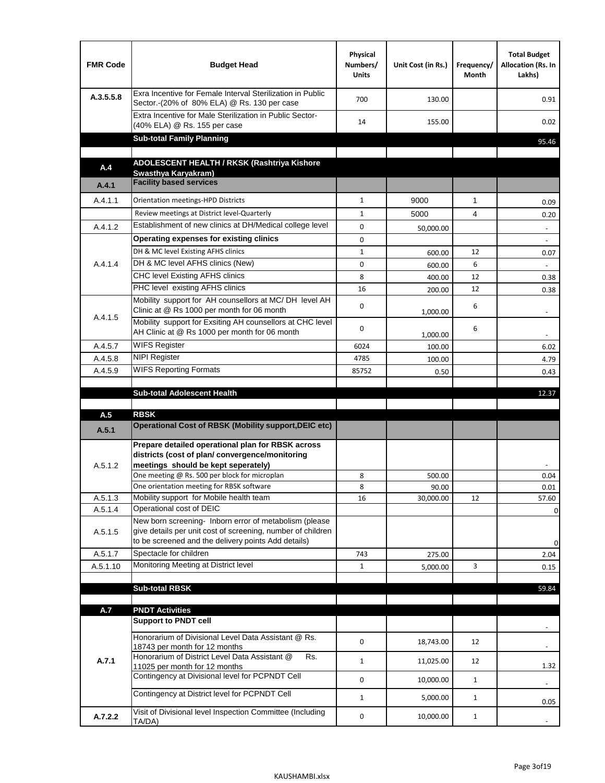| <b>FMR Code</b>    | <b>Budget Head</b>                                                                                                                                                           | Physical<br>Numbers/<br><b>Units</b> | Unit Cost (in Rs.) | Frequency/<br>Month | <b>Total Budget</b><br>Allocation (Rs. In<br>Lakhs) |
|--------------------|------------------------------------------------------------------------------------------------------------------------------------------------------------------------------|--------------------------------------|--------------------|---------------------|-----------------------------------------------------|
| A.3.5.5.8          | Exra Incentive for Female Interval Sterilization in Public<br>Sector.-(20% of 80% ELA) @ Rs. 130 per case                                                                    | 700                                  | 130.00             |                     | 0.91                                                |
|                    | Extra Incentive for Male Sterilization in Public Sector-<br>(40% ELA) @ Rs. 155 per case                                                                                     | 14                                   | 155.00             |                     | 0.02                                                |
|                    | <b>Sub-total Family Planning</b>                                                                                                                                             |                                      |                    |                     | 95.46                                               |
| A.4                | ADOLESCENT HEALTH / RKSK (Rashtriya Kishore                                                                                                                                  |                                      |                    |                     |                                                     |
|                    | Swasthya Karyakram)                                                                                                                                                          |                                      |                    |                     |                                                     |
| A.4.1              | <b>Facility based services</b>                                                                                                                                               |                                      |                    |                     |                                                     |
| A.4.1.1            | Orientation meetings-HPD Districts                                                                                                                                           | $\mathbf{1}$                         | 9000               | $\mathbf{1}$        | 0.09                                                |
|                    | Review meetings at District level-Quarterly                                                                                                                                  | $\mathbf{1}$                         | 5000               | 4                   | 0.20                                                |
| A.4.1.2            | Establishment of new clinics at DH/Medical college level                                                                                                                     | 0                                    | 50,000.00          |                     | $\overline{\phantom{a}}$                            |
|                    | Operating expenses for existing clinics                                                                                                                                      | 0                                    |                    |                     |                                                     |
|                    | DH & MC level Existing AFHS clinics                                                                                                                                          | $\mathbf{1}$                         | 600.00             | 12                  | 0.07                                                |
| A.4.1.4            | DH & MC level AFHS clinics (New)                                                                                                                                             | 0                                    | 600.00             | 6                   |                                                     |
|                    | <b>CHC level Existing AFHS clinics</b>                                                                                                                                       | 8                                    | 400.00             | 12                  | 0.38                                                |
|                    | PHC level existing AFHS clinics<br>Mobility support for AH counsellors at MC/DH level AH                                                                                     | 16                                   | 200.00             | 12                  | 0.38                                                |
| A.4.1.5            | Clinic at @ Rs 1000 per month for 06 month                                                                                                                                   | 0                                    | 1,000.00           | 6                   |                                                     |
|                    | Mobility support for Exsiting AH counsellors at CHC level<br>AH Clinic at @ Rs 1000 per month for 06 month                                                                   | 0                                    | 1,000.00           | 6                   |                                                     |
| A.4.5.7            | <b>WIFS Register</b>                                                                                                                                                         | 6024                                 | 100.00             |                     | 6.02                                                |
| A.4.5.8            | <b>NIPI Register</b>                                                                                                                                                         | 4785                                 | 100.00             |                     | 4.79                                                |
| A.4.5.9            | <b>WIFS Reporting Formats</b>                                                                                                                                                | 85752                                | 0.50               |                     | 0.43                                                |
|                    |                                                                                                                                                                              |                                      |                    |                     |                                                     |
|                    | <b>Sub-total Adolescent Health</b>                                                                                                                                           |                                      |                    |                     | 12.37                                               |
|                    |                                                                                                                                                                              |                                      |                    |                     |                                                     |
| A.5<br>A.5.1       | <b>RBSK</b><br>Operational Cost of RBSK (Mobility support, DEIC etc)                                                                                                         |                                      |                    |                     |                                                     |
| A.5.1.2            | Prepare detailed operational plan for RBSK across<br>districts (cost of plan/convergence/monitoring<br>meetings should be kept seperately)                                   |                                      |                    |                     |                                                     |
|                    | One meeting @ Rs. 500 per block for microplan                                                                                                                                | 8                                    | 500.00             |                     | 0.04                                                |
|                    | One orientation meeting for RBSK software<br>Mobility support for Mobile health team                                                                                         | 8                                    | 90.00              |                     | 0.01<br>57.60                                       |
| A.5.1.3<br>A.5.1.4 | Operational cost of DEIC                                                                                                                                                     | 16                                   | 30,000.00          | 12                  |                                                     |
| A.5.1.5            | New born screening- Inborn error of metabolism (please<br>give details per unit cost of screening, number of children<br>to be screened and the delivery points Add details) |                                      |                    |                     | 0<br>0                                              |
| A.5.1.7            | Spectacle for children                                                                                                                                                       | 743                                  | 275.00             |                     | 2.04                                                |
| A.5.1.10           | Monitoring Meeting at District level                                                                                                                                         | $\mathbf{1}$                         | 5,000.00           | 3                   | 0.15                                                |
|                    |                                                                                                                                                                              |                                      |                    |                     |                                                     |
|                    | <b>Sub-total RBSK</b>                                                                                                                                                        |                                      |                    |                     | 59.84                                               |
| A.7                | <b>PNDT Activities</b>                                                                                                                                                       |                                      |                    |                     |                                                     |
|                    | <b>Support to PNDT cell</b>                                                                                                                                                  |                                      |                    |                     |                                                     |
|                    | Honorarium of Divisional Level Data Assistant @ Rs.<br>18743 per month for 12 months                                                                                         | 0                                    | 18,743.00          | 12                  |                                                     |
| A.7.1              | Honorarium of District Level Data Assistant @<br>Rs.<br>11025 per month for 12 months                                                                                        | $\mathbf{1}$                         | 11,025.00          | 12                  | 1.32                                                |
|                    | Contingency at Divisional level for PCPNDT Cell                                                                                                                              | 0                                    | 10,000.00          | $\mathbf{1}$        | $\overline{\phantom{a}}$                            |
|                    | Contingency at District level for PCPNDT Cell                                                                                                                                | $\mathbf{1}$                         | 5,000.00           | $\mathbf{1}$        | 0.05                                                |
| A.7.2.2            | Visit of Divisional level Inspection Committee (Including<br>TA/DA)                                                                                                          | 0                                    | 10,000.00          | $\mathbf{1}$        |                                                     |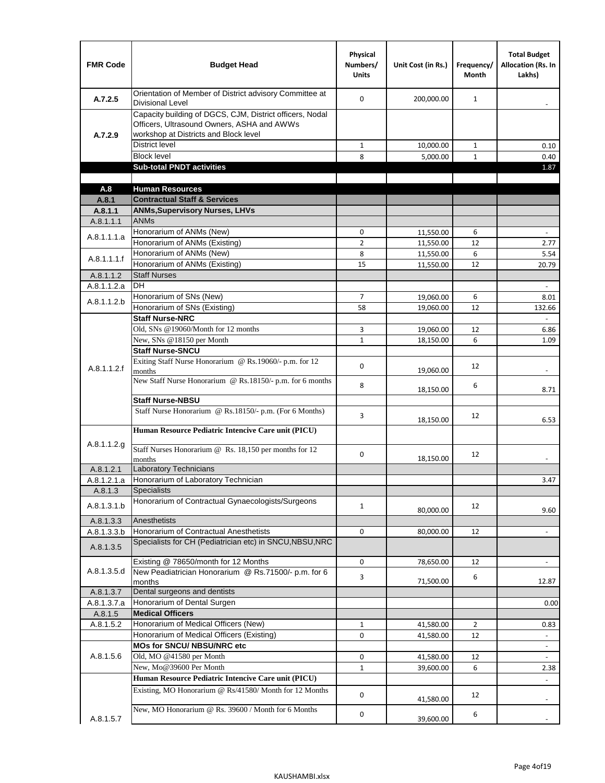| <b>FMR Code</b>      | <b>Budget Head</b>                                                                                                                              | Physical<br>Numbers/<br><b>Units</b> | Unit Cost (in Rs.)     | Frequency/<br><b>Month</b> | <b>Total Budget</b><br><b>Allocation (Rs. In</b><br>Lakhs) |
|----------------------|-------------------------------------------------------------------------------------------------------------------------------------------------|--------------------------------------|------------------------|----------------------------|------------------------------------------------------------|
| A.7.2.5              | Orientation of Member of District advisory Committee at<br><b>Divisional Level</b>                                                              | $\Omega$                             | 200,000.00             | $\mathbf{1}$               | $\overline{\phantom{m}}$                                   |
| A.7.2.9              | Capacity building of DGCS, CJM, District officers, Nodal<br>Officers, Ultrasound Owners, ASHA and AWWs<br>workshop at Districts and Block level |                                      |                        |                            |                                                            |
|                      | <b>District level</b>                                                                                                                           | $\mathbf{1}$                         | 10,000.00              | $\mathbf{1}$               | 0.10                                                       |
|                      | <b>Block level</b>                                                                                                                              | 8                                    | 5,000.00               | $\mathbf{1}$               | 0.40                                                       |
|                      | <b>Sub-total PNDT activities</b>                                                                                                                |                                      |                        |                            | 1.87                                                       |
|                      |                                                                                                                                                 |                                      |                        |                            |                                                            |
| A.8                  | <b>Human Resources</b>                                                                                                                          |                                      |                        |                            |                                                            |
| A.8.1                | <b>Contractual Staff &amp; Services</b>                                                                                                         |                                      |                        |                            |                                                            |
| A.8.1.1<br>A.8.1.1.1 | <b>ANMs, Supervisory Nurses, LHVs</b><br><b>ANMs</b>                                                                                            |                                      |                        |                            |                                                            |
|                      | Honorarium of ANMs (New)                                                                                                                        | 0                                    |                        | 6                          | $\blacksquare$                                             |
| A.8.1.1.1.a          | Honorarium of ANMs (Existing)                                                                                                                   | $\overline{2}$                       | 11,550.00<br>11,550.00 | 12                         | 2.77                                                       |
|                      | Honorarium of ANMs (New)                                                                                                                        | 8                                    | 11,550.00              | 6                          | 5.54                                                       |
| A.8.1.1.1.f          | Honorarium of ANMs (Existing)                                                                                                                   | 15                                   | 11,550.00              | 12                         | 20.79                                                      |
| A.8.1.1.2            | <b>Staff Nurses</b>                                                                                                                             |                                      |                        |                            |                                                            |
| A.8.1.1.2.a          | <b>DH</b>                                                                                                                                       |                                      |                        |                            | $\Box$                                                     |
|                      | Honorarium of SNs (New)                                                                                                                         | $\overline{7}$                       | 19,060.00              | 6                          | 8.01                                                       |
| A.8.1.1.2.b          | Honorarium of SNs (Existing)                                                                                                                    | 58                                   | 19.060.00              | 12                         | 132.66                                                     |
|                      | <b>Staff Nurse-NRC</b>                                                                                                                          |                                      |                        |                            | L.                                                         |
|                      | Old, SNs @19060/Month for 12 months                                                                                                             | 3                                    | 19,060.00              | 12                         | 6.86                                                       |
|                      | New, SNs @18150 per Month                                                                                                                       | $\mathbf{1}$                         | 18,150.00              | 6                          | 1.09                                                       |
|                      | <b>Staff Nurse-SNCU</b>                                                                                                                         |                                      |                        |                            |                                                            |
| A.8.1.1.2.f          | Exiting Staff Nurse Honorarium @ Rs.19060/- p.m. for 12<br>months                                                                               | $\Omega$                             | 19,060.00              | 12                         | -                                                          |
|                      | New Staff Nurse Honorarium @ Rs.18150/- p.m. for 6 months                                                                                       | 8                                    | 18,150.00              | 6                          | 8.71                                                       |
|                      | <b>Staff Nurse-NBSU</b>                                                                                                                         |                                      |                        |                            |                                                            |
|                      | Staff Nurse Honorarium @ Rs.18150/- p.m. (For 6 Months)                                                                                         | 3                                    | 18,150.00              | 12                         | 6.53                                                       |
|                      | Human Resource Pediatric Intencive Care unit (PICU)                                                                                             |                                      |                        |                            |                                                            |
| A.8.1.1.2.g          | Staff Nurses Honorarium @ Rs. 18,150 per months for 12<br>months                                                                                | 0                                    | 18,150.00              | 12                         |                                                            |
| A.8.1.2.1            | <b>Laboratory Technicians</b>                                                                                                                   |                                      |                        |                            |                                                            |
| A.8.1.2.1.a          | Honorarium of Laboratory Technician                                                                                                             |                                      |                        |                            | 3.47                                                       |
| A.8.1.3              | <b>Specialists</b>                                                                                                                              |                                      |                        |                            |                                                            |
| A.8.1.3.1.b          | Honorarium of Contractual Gynaecologists/Surgeons                                                                                               | $\mathbf{1}$                         | 80,000.00              | 12                         | 9.60                                                       |
| A.8.1.3.3            | Anesthetists                                                                                                                                    |                                      |                        |                            |                                                            |
| A.8.1.3.3.b          | Honorarium of Contractual Anesthetists                                                                                                          | 0                                    | 80,000.00              | 12                         | $\blacksquare$                                             |
| A.8.1.3.5            | Specialists for CH (Pediatrician etc) in SNCU, NBSU, NRC                                                                                        |                                      |                        |                            |                                                            |
|                      | Existing @ 78650/month for 12 Months                                                                                                            | 0                                    | 78,650.00              | 12                         | $\blacksquare$                                             |
| A.8.1.3.5.d          | New Peadiatrician Honorarium @ Rs.71500/- p.m. for 6<br>months                                                                                  | 3                                    | 71,500.00              | 6                          | 12.87                                                      |
| A.8.1.3.7            | Dental surgeons and dentists                                                                                                                    |                                      |                        |                            |                                                            |
| A.8.1.3.7.a          | Honorarium of Dental Surgen                                                                                                                     |                                      |                        |                            | 0.00                                                       |
| A.8.1.5              | <b>Medical Officers</b>                                                                                                                         |                                      |                        |                            |                                                            |
| A.8.1.5.2            | Honorarium of Medical Officers (New)                                                                                                            | $\mathbf{1}$                         | 41,580.00              | $\overline{2}$             | 0.83                                                       |
|                      | Honorarium of Medical Officers (Existing)                                                                                                       | 0                                    | 41,580.00              | 12                         |                                                            |
|                      | MOs for SNCU/ NBSU/NRC etc                                                                                                                      |                                      |                        |                            |                                                            |
| A.8.1.5.6            | Old, MO @41580 per Month                                                                                                                        | 0                                    | 41,580.00              | 12                         | $\blacksquare$                                             |
|                      | New, Mo@39600 Per Month                                                                                                                         | $\mathbf{1}$                         | 39,600.00              | 6                          | 2.38                                                       |
|                      | Human Resource Pediatric Intencive Care unit (PICU)                                                                                             |                                      |                        |                            |                                                            |
|                      | Existing, MO Honorarium @ Rs/41580/ Month for 12 Months                                                                                         | $\mathbf 0$                          | 41,580.00              | 12                         |                                                            |
| A.8.1.5.7            | New, MO Honorarium @ Rs. 39600 / Month for 6 Months                                                                                             | 0                                    | 39,600.00              | 6                          |                                                            |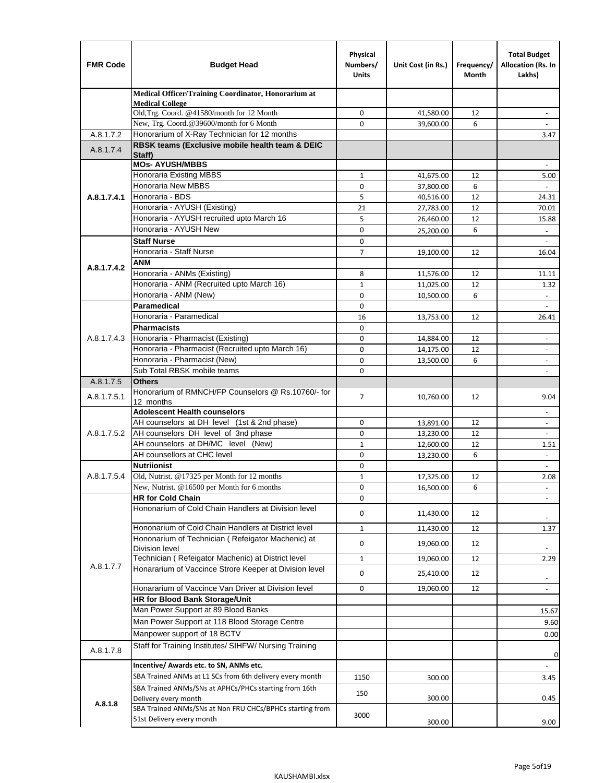| <b>FMR Code</b> | <b>Budget Head</b>                                                                    | Physical<br>Numbers/<br><b>Units</b> | Unit Cost (in Rs.)     | Frequency/<br>Month | <b>Total Budget</b><br>Allocation (Rs. In<br>Lakhs) |
|-----------------|---------------------------------------------------------------------------------------|--------------------------------------|------------------------|---------------------|-----------------------------------------------------|
|                 | Medical Officer/Training Coordinator, Honorarium at                                   |                                      |                        |                     |                                                     |
|                 | <b>Medical College</b><br>Old, Trg. Coord. @41580/month for 12 Month                  | 0                                    | 41,580.00              | 12                  |                                                     |
|                 | New, Trg. Coord.@39600/month for 6 Month                                              | $\Omega$                             | 39,600.00              | 6                   |                                                     |
| A.8.1.7.2       | Honorarium of X-Ray Technician for 12 months                                          |                                      |                        |                     | 3.47                                                |
| A.8.1.7.4       | RBSK teams (Exclusive mobile health team & DEIC                                       |                                      |                        |                     |                                                     |
|                 | Staff)<br><b>MOs- AYUSH/MBBS</b>                                                      |                                      |                        |                     |                                                     |
|                 | Honoraria Existing MBBS                                                               | $\mathbf{1}$                         | 41,675.00              | 12                  | 5.00                                                |
|                 | Honoraria New MBBS                                                                    | 0                                    | 37,800.00              | 6                   | $\blacksquare$                                      |
| A.8.1.7.4.1     | Honoraria - BDS                                                                       | 5                                    | 40,516.00              | 12                  | 24.31                                               |
|                 | Honoraria - AYUSH (Existing)                                                          | 21                                   | 27,783.00              | 12                  | 70.01                                               |
|                 | Honoraria - AYUSH recruited upto March 16                                             | 5                                    | 26,460.00              | 12                  | 15.88                                               |
|                 | Honoraria - AYUSH New                                                                 | $\mathbf 0$                          | 25,200.00              | 6                   |                                                     |
|                 | <b>Staff Nurse</b>                                                                    | $\mathbf 0$                          |                        |                     | $\omega$                                            |
|                 | Honoraria - Staff Nurse                                                               | $\overline{7}$                       | 19,100.00              | 12                  | 16.04                                               |
| A.8.1.7.4.2     | ANM                                                                                   |                                      |                        |                     |                                                     |
|                 | Honoraria - ANMs (Existing)                                                           | 8                                    | 11,576.00              | 12                  | 11.11                                               |
|                 | Honoraria - ANM (Recruited upto March 16)                                             | $\mathbf{1}$                         | 11,025.00              | 12                  | 1.32                                                |
|                 | Honoraria - ANM (New)<br><b>Paramedical</b>                                           | $\mathbf 0$                          | 10,500.00              | 6                   |                                                     |
|                 | Honoraria - Paramedical                                                               | $\mathbf 0$<br>16                    |                        | 12                  | $\overline{\phantom{a}}$                            |
|                 | <b>Pharmacists</b>                                                                    | $\mathbf 0$                          | 13,753.00              |                     | 26.41                                               |
| A.8.1.7.4.3     | Honoraria - Pharmacist (Existing)                                                     | 0                                    | 14,884.00              | 12                  | $\overline{\phantom{a}}$                            |
|                 | Honoraria - Pharmacist (Recruited upto March 16)                                      | $\mathbf 0$                          | 14,175.00              | 12                  | $\blacksquare$                                      |
|                 | Honoraria - Pharmacist (New)                                                          | $\mathbf 0$                          | 13,500.00              | 6                   | ÷,                                                  |
|                 | Sub Total RBSK mobile teams                                                           | $\Omega$                             |                        |                     | $\overline{\phantom{a}}$                            |
| A.8.1.7.5       | <b>Others</b>                                                                         |                                      |                        |                     |                                                     |
| A.8.1.7.5.1     | Honorarium of RMNCH/FP Counselors @ Rs.10760/- for                                    | $\overline{7}$                       | 10,760.00              | 12                  | 9.04                                                |
|                 | 12 months                                                                             |                                      |                        |                     |                                                     |
|                 | <b>Adolescent Health counselors</b>                                                   |                                      |                        |                     | $\blacksquare$                                      |
| A.8.1.7.5.2     | AH counselors at DH level (1st & 2nd phase)                                           | $\mathbf 0$                          | 13,891.00              | 12                  | $\overline{\phantom{a}}$                            |
|                 | AH counselors DH level of 3nd phase<br>AH counselors at DH/MC level (New)             | 0<br>$\mathbf{1}$                    | 13,230.00<br>12,600.00 | 12<br>12            | $\overline{\phantom{a}}$<br>1.51                    |
|                 | AH counsellors at CHC level                                                           | $\mathbf 0$                          | 13,230.00              | 6                   | $\omega$                                            |
|                 | <b>Nutriionist</b>                                                                    | $\mathbf 0$                          |                        |                     | $\overline{\phantom{a}}$                            |
| A.8.1.7.5.4     | Old, Nutrist. @17325 per Month for 12 months                                          | $\mathbf{1}$                         | 17,325.00              | 12                  | 2.08                                                |
|                 | New, Nutrist. @16500 per Month for 6 months                                           | 0                                    | 16,500.00              | 6                   |                                                     |
|                 | <b>HR for Cold Chain</b>                                                              | 0                                    |                        |                     |                                                     |
|                 | Hononarium of Cold Chain Handlers at Division level                                   | 0                                    | 11,430.00              | 12                  |                                                     |
|                 | Hononarium of Cold Chain Handlers at District level                                   | 1                                    | 11,430.00              | 12                  | 1.37                                                |
|                 | Hononarium of Technician (Refeigator Machenic) at                                     |                                      |                        |                     |                                                     |
|                 | <b>Division level</b>                                                                 | 0                                    | 19,060.00              | 12                  |                                                     |
|                 | Technician (Refeigator Machenic) at District level                                    | $\mathbf{1}$                         | 19,060.00              | 12                  | 2.29                                                |
| A.8.1.7.7       | Honararium of Vaccince Strore Keeper at Division level                                | 0                                    | 25,410.00              | 12                  | $\blacksquare$                                      |
|                 | Honararium of Vaccince Van Driver at Division level                                   | 0                                    | 19,060.00              | 12                  | $\blacksquare$                                      |
|                 | HR for Blood Bank Storage/Unit                                                        |                                      |                        |                     |                                                     |
|                 | Man Power Support at 89 Blood Banks                                                   |                                      |                        |                     | 15.67                                               |
|                 | Man Power Support at 118 Blood Storage Centre                                         |                                      |                        |                     | 9.60                                                |
|                 | Manpower support of 18 BCTV                                                           |                                      |                        |                     | 0.00                                                |
| A.8.1.7.8       | Staff for Training Institutes/ SIHFW/ Nursing Training                                |                                      |                        |                     | 0                                                   |
|                 | Incentive/ Awards etc. to SN, ANMs etc.                                               |                                      |                        |                     |                                                     |
|                 | SBA Trained ANMs at L1 SCs from 6th delivery every month                              | 1150                                 | 300.00                 |                     | 3.45                                                |
|                 | SBA Trained ANMs/SNs at APHCs/PHCs starting from 16th                                 | 150                                  |                        |                     |                                                     |
| A.8.1.8         | Delivery every month                                                                  |                                      | 300.00                 |                     | 0.45                                                |
|                 | SBA Trained ANMs/SNs at Non FRU CHCs/BPHCs starting from<br>51st Delivery every month | 3000                                 |                        |                     |                                                     |
|                 |                                                                                       |                                      | 300.00                 |                     | 9.00                                                |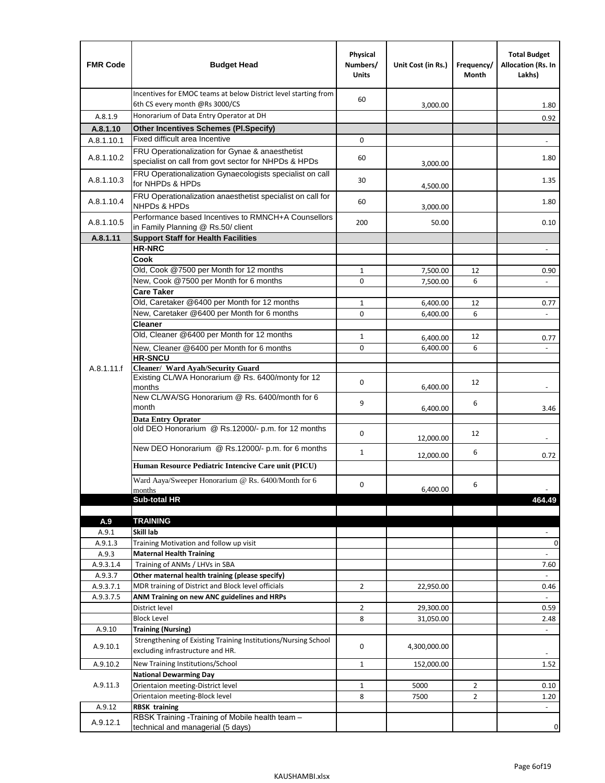| <b>FMR Code</b> | <b>Budget Head</b>                                                                                               | Physical<br>Numbers/<br><b>Units</b> | Unit Cost (in Rs.) | Frequency/<br>Month | <b>Total Budget</b><br>Allocation (Rs. In<br>Lakhs) |
|-----------------|------------------------------------------------------------------------------------------------------------------|--------------------------------------|--------------------|---------------------|-----------------------------------------------------|
|                 | Incentives for EMOC teams at below District level starting from<br>6th CS every month @Rs 3000/CS                | 60                                   | 3,000.00           |                     | 1.80                                                |
| A.8.1.9         | Honorarium of Data Entry Operator at DH                                                                          |                                      |                    |                     | 0.92                                                |
| A.8.1.10        | <b>Other Incentives Schemes (Pl.Specify)</b>                                                                     |                                      |                    |                     |                                                     |
| A.8.1.10.1      | Fixed difficult area Incentive                                                                                   | 0                                    |                    |                     |                                                     |
|                 | FRU Operationalization for Gynae & anaesthetist                                                                  |                                      |                    |                     |                                                     |
| A.8.1.10.2      | specialist on call from govt sector for NHPDs & HPDs<br>FRU Operationalization Gynaecologists specialist on call | 60                                   | 3,000.00           |                     | 1.80                                                |
| A.8.1.10.3      | for NHPDs & HPDs                                                                                                 | 30                                   | 4,500.00           |                     | 1.35                                                |
| A.8.1.10.4      | FRU Operationalization anaesthetist specialist on call for<br>NHPDs & HPDs                                       | 60                                   | 3,000.00           |                     | 1.80                                                |
| A.8.1.10.5      | Performance based Incentives to RMNCH+A Counsellors<br>in Family Planning @ Rs.50/ client                        | 200                                  | 50.00              |                     | 0.10                                                |
| A.8.1.11        | <b>Support Staff for Health Facilities</b>                                                                       |                                      |                    |                     |                                                     |
|                 | <b>HR-NRC</b>                                                                                                    |                                      |                    |                     | $\frac{1}{2}$                                       |
|                 | Cook                                                                                                             |                                      |                    |                     |                                                     |
|                 | Old, Cook @7500 per Month for 12 months                                                                          | 1                                    | 7,500.00           | 12                  | 0.90                                                |
|                 | New, Cook @7500 per Month for 6 months                                                                           | 0                                    | 7,500.00           | 6                   | $\overline{\phantom{a}}$                            |
|                 | <b>Care Taker</b>                                                                                                |                                      |                    |                     |                                                     |
|                 | Old, Caretaker @6400 per Month for 12 months                                                                     | $\mathbf{1}$                         | 6,400.00           | 12                  | 0.77                                                |
|                 | New, Caretaker @6400 per Month for 6 months                                                                      | $\Omega$                             | 6,400.00           | 6                   |                                                     |
|                 | <b>Cleaner</b>                                                                                                   |                                      |                    |                     |                                                     |
|                 | Old, Cleaner @6400 per Month for 12 months                                                                       | 1                                    | 6,400.00           | 12                  | 0.77                                                |
|                 | New, Cleaner @6400 per Month for 6 months                                                                        | 0                                    | 6,400.00           | 6                   |                                                     |
|                 | <b>HR-SNCU</b>                                                                                                   |                                      |                    |                     |                                                     |
| A.8.1.11.f      | Cleaner/ Ward Ayah/Security Guard                                                                                |                                      |                    |                     |                                                     |
|                 | Existing CL/WA Honorarium @ Rs. 6400/monty for 12<br>months                                                      | 0                                    | 6,400.00           | 12                  |                                                     |
|                 | New CL/WA/SG Honorarium @ Rs. 6400/month for 6                                                                   |                                      |                    |                     |                                                     |
|                 | month                                                                                                            | 9                                    | 6,400.00           | 6                   | 3.46                                                |
|                 | <b>Data Entry Oprator</b>                                                                                        |                                      |                    |                     |                                                     |
|                 | old DEO Honorarium @ Rs.12000/- p.m. for 12 months                                                               |                                      |                    |                     |                                                     |
|                 |                                                                                                                  | $\mathbf 0$                          | 12,000.00          | 12                  |                                                     |
|                 | New DEO Honorarium @ Rs.12000/- p.m. for 6 months                                                                | $\mathbf{1}$                         |                    | 6                   |                                                     |
|                 | Human Resource Pediatric Intencive Care unit (PICU)                                                              |                                      | 12,000.00          |                     | 0.72                                                |
|                 |                                                                                                                  |                                      |                    |                     |                                                     |
|                 | Ward Aaya/Sweeper Honorarium @ Rs. 6400/Month for 6                                                              | $\Omega$                             |                    | 6                   |                                                     |
|                 | months<br>Sub-total HR                                                                                           |                                      | 6,400.00           |                     | $\overline{\phantom{a}}$<br>464.49                  |
|                 |                                                                                                                  |                                      |                    |                     |                                                     |
| A.9             | <b>TRAINING</b>                                                                                                  |                                      |                    |                     |                                                     |
| A.9.1           | Skill lab                                                                                                        |                                      |                    |                     |                                                     |
| A.9.1.3         | Training Motivation and follow up visit                                                                          |                                      |                    |                     | 0                                                   |
| A.9.3           | <b>Maternal Health Training</b>                                                                                  |                                      |                    |                     | $\overline{\phantom{a}}$                            |
| A.9.3.1.4       | Training of ANMs / LHVs in SBA                                                                                   |                                      |                    |                     | 7.60                                                |
| A.9.3.7         | Other maternal health training (please specify)                                                                  |                                      |                    |                     |                                                     |
| A.9.3.7.1       | MDR training of District and Block level officials                                                               | $\overline{2}$                       | 22,950.00          |                     | 0.46                                                |
| A.9.3.7.5       | ANM Training on new ANC guidelines and HRPs                                                                      |                                      |                    |                     | $\omega$                                            |
|                 | District level                                                                                                   | $\overline{2}$                       | 29,300.00          |                     | 0.59                                                |
|                 | <b>Block Level</b>                                                                                               | 8                                    | 31,050.00          |                     | 2.48                                                |
| A.9.10          | <b>Training (Nursing)</b>                                                                                        |                                      |                    |                     | $\overline{\phantom{a}}$                            |
| A.9.10.1        | Strengthening of Existing Training Institutions/Nursing School<br>excluding infrastructure and HR.               | 0                                    | 4,300,000.00       |                     |                                                     |
|                 |                                                                                                                  |                                      |                    |                     |                                                     |
| A.9.10.2        | New Training Institutions/School                                                                                 | 1                                    | 152,000.00         |                     | 1.52                                                |
|                 | <b>National Dewarming Day</b>                                                                                    |                                      |                    |                     |                                                     |
| A.9.11.3        | Orientaion meeting-District level                                                                                | $\mathbf 1$                          | 5000               | $\overline{2}$      | 0.10                                                |
|                 | Orientaion meeting-Block level                                                                                   | 8                                    | 7500               | $\overline{2}$      | 1.20                                                |
| A.9.12          | <b>RBSK training</b>                                                                                             |                                      |                    |                     | $\overline{\phantom{a}}$                            |
| A.9.12.1        | RBSK Training -Training of Mobile health team -<br>technical and managerial (5 days)                             |                                      |                    |                     | 0                                                   |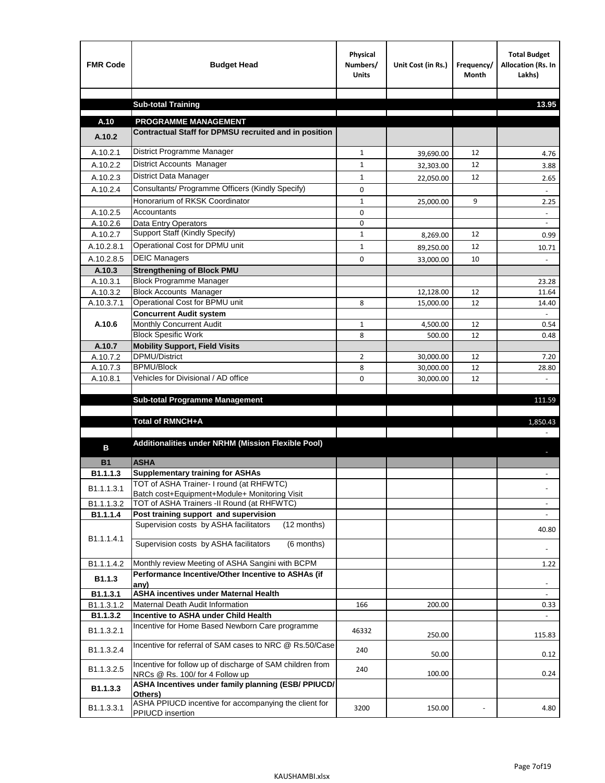| <b>FMR Code</b>        | <b>Budget Head</b>                                                                           | Physical<br>Numbers/<br><b>Units</b> | Unit Cost (in Rs.) | Frequency/<br><b>Month</b> | <b>Total Budget</b><br>Allocation (Rs. In<br>Lakhs) |
|------------------------|----------------------------------------------------------------------------------------------|--------------------------------------|--------------------|----------------------------|-----------------------------------------------------|
|                        |                                                                                              |                                      |                    |                            |                                                     |
|                        | <b>Sub-total Training</b>                                                                    |                                      |                    |                            | 13.95                                               |
| A.10                   | <b>PROGRAMME MANAGEMENT</b>                                                                  |                                      |                    |                            |                                                     |
| A.10.2                 | Contractual Staff for DPMSU recruited and in position                                        |                                      |                    |                            |                                                     |
| A.10.2.1               | District Programme Manager                                                                   | $\mathbf{1}$                         | 39,690.00          | 12                         | 4.76                                                |
| A.10.2.2               | District Accounts Manager                                                                    | 1                                    | 32,303.00          | 12                         | 3.88                                                |
| A.10.2.3               | District Data Manager                                                                        | $\mathbf{1}$                         |                    | 12                         |                                                     |
| A.10.2.4               | Consultants/ Programme Officers (Kindly Specify)                                             | $\mathbf 0$                          | 22,050.00          |                            | 2.65                                                |
|                        | Honorarium of RKSK Coordinator                                                               | $\mathbf{1}$                         | 25,000.00          | 9                          | 2.25                                                |
| A.10.2.5               | Accountants                                                                                  | 0                                    |                    |                            |                                                     |
| A.10.2.6               | Data Entry Operators                                                                         | 0                                    |                    |                            | $\overline{\phantom{a}}$                            |
| A.10.2.7               | Support Staff (Kindly Specify)                                                               | $\mathbf{1}$                         | 8,269.00           | 12                         | 0.99                                                |
| A.10.2.8.1             | Operational Cost for DPMU unit                                                               | $\mathbf{1}$                         | 89,250.00          | 12                         | 10.71                                               |
| A.10.2.8.5             | <b>DEIC Managers</b>                                                                         | $\mathbf 0$                          | 33,000.00          | 10                         |                                                     |
| A.10.3                 | <b>Strengthening of Block PMU</b>                                                            |                                      |                    |                            |                                                     |
| A.10.3.1               | <b>Block Programme Manager</b>                                                               |                                      |                    |                            | 23.28                                               |
| A.10.3.2               | <b>Block Accounts Manager</b>                                                                |                                      | 12,128.00          | 12                         | 11.64                                               |
| A.10.3.7.1             | Operational Cost for BPMU unit                                                               | 8                                    | 15,000.00          | 12                         | 14.40                                               |
| A.10.6                 | <b>Concurrent Audit system</b>                                                               |                                      |                    |                            |                                                     |
|                        | Monthly Concurrent Audit<br><b>Block Spesific Work</b>                                       | $\mathbf{1}$<br>8                    | 4,500.00<br>500.00 | 12<br>12                   | 0.54<br>0.48                                        |
| A.10.7                 | <b>Mobility Support, Field Visits</b>                                                        |                                      |                    |                            |                                                     |
| A.10.7.2               | <b>DPMU/District</b>                                                                         | 2                                    | 30,000.00          | 12                         | 7.20                                                |
| A.10.7.3               | <b>BPMU/Block</b>                                                                            | 8                                    | 30,000.00          | 12                         | 28.80                                               |
| A.10.8.1               | Vehicles for Divisional / AD office                                                          | 0                                    | 30,000.00          | 12                         |                                                     |
|                        |                                                                                              |                                      |                    |                            |                                                     |
|                        | <b>Sub-total Programme Management</b>                                                        |                                      |                    |                            | 111.59                                              |
|                        | Total of RMNCH+A                                                                             |                                      |                    |                            | 1,850.43                                            |
|                        |                                                                                              |                                      |                    |                            |                                                     |
|                        | Additionalities under NRHM (Mission Flexible Pool)                                           |                                      |                    |                            |                                                     |
| в                      |                                                                                              |                                      |                    |                            |                                                     |
| <b>B1</b>              | <b>ASHA</b>                                                                                  |                                      |                    |                            |                                                     |
| B1.1.1.3               | <b>Supplementary training for ASHAs</b><br>TOT of ASHA Trainer- I round (at RHFWTC)          |                                      |                    |                            |                                                     |
| B1.1.1.3.1             | Batch cost+Equipment+Module+ Monitoring Visit                                                |                                      |                    |                            |                                                     |
| B1.1.1.3.2             | TOT of ASHA Trainers -II Round (at RHFWTC)                                                   |                                      |                    |                            |                                                     |
| B1.1.1.4               | Post training support and supervision                                                        |                                      |                    |                            | $\sim$                                              |
|                        | Supervision costs by ASHA facilitators<br>(12 months)                                        |                                      |                    |                            | 40.80                                               |
| B1.1.1.4.1             | Supervision costs by ASHA facilitators<br>(6 months)                                         |                                      |                    |                            |                                                     |
|                        |                                                                                              |                                      |                    |                            |                                                     |
| B1.1.1.4.2             | Monthly review Meeting of ASHA Sangini with BCPM                                             |                                      |                    |                            | 1.22                                                |
| B <sub>1.1.3</sub>     | Performance Incentive/Other Incentive to ASHAs (if                                           |                                      |                    |                            |                                                     |
|                        | any)<br><b>ASHA incentives under Maternal Health</b>                                         |                                      |                    |                            |                                                     |
| B1.1.3.1<br>B1.1.3.1.2 | Maternal Death Audit Information                                                             | 166                                  | 200.00             |                            | 0.33                                                |
| B1.1.3.2               | Incentive to ASHA under Child Health                                                         |                                      |                    |                            | ÷.                                                  |
| B1.1.3.2.1             | Incentive for Home Based Newborn Care programme                                              | 46332                                | 250.00             |                            | 115.83                                              |
| B1.1.3.2.4             | Incentive for referral of SAM cases to NRC @ Rs.50/Case                                      | 240                                  | 50.00              |                            | 0.12                                                |
| B1.1.3.2.5             | Incentive for follow up of discharge of SAM children from<br>NRCs @ Rs. 100/ for 4 Follow up | 240                                  | 100.00             |                            | 0.24                                                |
| B1.1.3.3               | ASHA Incentives under family planning (ESB/ PPIUCD/<br>Others)                               |                                      |                    |                            |                                                     |
| B1.1.3.3.1             | ASHA PPIUCD incentive for accompanying the client for<br>PPIUCD insertion                    | 3200                                 | 150.00             |                            | 4.80                                                |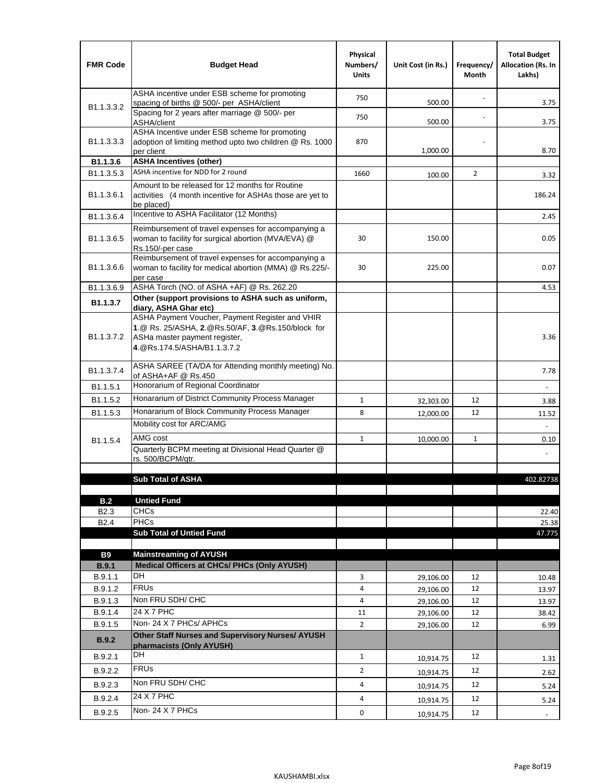| <b>FMR Code</b>            | <b>Budget Head</b>                                                                                                                                                    | Physical<br>Numbers/<br><b>Units</b> | Unit Cost (in Rs.) | Frequency/<br>Month | <b>Total Budget</b><br><b>Allocation (Rs. In</b><br>Lakhs) |
|----------------------------|-----------------------------------------------------------------------------------------------------------------------------------------------------------------------|--------------------------------------|--------------------|---------------------|------------------------------------------------------------|
|                            | ASHA incentive under ESB scheme for promoting<br>spacing of births @ 500/- per ASHA/client                                                                            | 750                                  | 500.00             |                     | 3.75                                                       |
| B <sub>1.1</sub> , 3, 3, 2 | Spacing for 2 years after marriage @ 500/- per<br>ASHA/client                                                                                                         | 750                                  | 500.00             |                     | 3.75                                                       |
| B1.1.3.3.3                 | ASHA Incentive under ESB scheme for promoting<br>adoption of limiting method upto two children @ Rs. 1000<br>per client                                               | 870                                  | 1,000.00           |                     | 8.70                                                       |
| B1.1.3.6                   | <b>ASHA Incentives (other)</b>                                                                                                                                        |                                      |                    |                     |                                                            |
| B <sub>1.1</sub> , 3, 5, 3 | ASHA incentive for NDD for 2 round                                                                                                                                    | 1660                                 | 100.00             | $\overline{2}$      | 3.32                                                       |
| B <sub>1.1</sub> .3.6.1    | Amount to be released for 12 months for Routine<br>activities (4 month incentive for ASHAs those are yet to<br>be placed)                                             |                                      |                    |                     | 186.24                                                     |
| B1.1.3.6.4                 | Incentive to ASHA Facilitator (12 Months)                                                                                                                             |                                      |                    |                     | 2.45                                                       |
| B <sub>1.1</sub> .3.6.5    | Reimbursement of travel expenses for accompanying a<br>woman to facility for surgical abortion (MVA/EVA) @<br>Rs.150/-per case                                        | 30                                   | 150.00             |                     | 0.05                                                       |
| B <sub>1.1</sub> .3.6.6    | Reimbursement of travel expenses for accompanying a<br>woman to facility for medical abortion (MMA) @ Rs.225/-<br>per case                                            | 30                                   | 225.00             |                     | 0.07                                                       |
| B1.1.3.6.9                 | ASHA Torch (NO. of ASHA +AF) @ Rs. 262.20                                                                                                                             |                                      |                    |                     | 4.53                                                       |
| B1.1.3.7                   | Other (support provisions to ASHA such as uniform,<br>diary, ASHA Ghar etc)                                                                                           |                                      |                    |                     |                                                            |
| B <sub>1.1</sub> .3.7.2    | ASHA Payment Voucher, Payment Register and VHIR<br>1.@ Rs. 25/ASHA, 2.@Rs.50/AF, 3.@Rs.150/block for<br>ASHa master payment register,<br>4. @Rs.174.5/ASHA/B1.1.3.7.2 |                                      |                    |                     | 3.36                                                       |
| B <sub>1.1</sub> , 3.7.4   | ASHA SAREE (TA/DA for Attending monthly meeting) No.<br>of ASHA+AF @ Rs.450                                                                                           |                                      |                    |                     | 7.78                                                       |
| B1.1.5.1                   | Honorarium of Regional Coordinator                                                                                                                                    |                                      |                    |                     |                                                            |
| B <sub>1.1.5.2</sub>       | Honararium of District Community Process Manager                                                                                                                      | $\mathbf{1}$                         | 32,303.00          | 12                  | 3.88                                                       |
| B1.1.5.3                   | Honararium of Block Community Process Manager                                                                                                                         | 8                                    | 12,000.00          | 12                  | 11.52                                                      |
|                            | Mobility cost for ARC/AMG                                                                                                                                             |                                      |                    |                     |                                                            |
| B <sub>1.1.5.4</sub>       | AMG cost                                                                                                                                                              | $\mathbf{1}$                         | 10,000.00          | $\mathbf{1}$        | 0.10                                                       |
|                            | Quarterly BCPM meeting at Divisional Head Quarter @                                                                                                                   |                                      |                    |                     |                                                            |
|                            | rs. 500/BCPM/atr.                                                                                                                                                     |                                      |                    |                     |                                                            |
|                            | <b>Sub Total of ASHA</b>                                                                                                                                              |                                      |                    |                     | 402.82738                                                  |
|                            |                                                                                                                                                                       |                                      |                    |                     |                                                            |
| B.2                        | <b>Untied Fund</b>                                                                                                                                                    |                                      |                    |                     |                                                            |
| B <sub>2.3</sub>           | <b>CHCs</b>                                                                                                                                                           |                                      |                    |                     | 22.40                                                      |
| B <sub>2.4</sub>           | <b>PHCs</b>                                                                                                                                                           |                                      |                    |                     | 25.38                                                      |
|                            | <b>Sub Total of Untied Fund</b>                                                                                                                                       |                                      |                    |                     | 47.775                                                     |
| <b>B9</b>                  | <b>Mainstreaming of AYUSH</b>                                                                                                                                         |                                      |                    |                     |                                                            |
| B.9.1                      | Medical Officers at CHCs/ PHCs (Only AYUSH)                                                                                                                           |                                      |                    |                     |                                                            |
| B.9.1.1                    | <b>DH</b>                                                                                                                                                             | 3                                    | 29,106.00          | 12                  | 10.48                                                      |
| B.9.1.2                    | <b>FRUs</b>                                                                                                                                                           | 4                                    | 29,106.00          | 12                  | 13.97                                                      |
| B.9.1.3                    | Non FRU SDH/ CHC                                                                                                                                                      | 4                                    | 29,106.00          | 12                  | 13.97                                                      |
| B.9.1.4                    | 24 X 7 PHC                                                                                                                                                            | 11                                   | 29,106.00          | 12                  | 38.42                                                      |
| B.9.1.5                    | Non-24 X 7 PHCs/ APHCs                                                                                                                                                | $\overline{2}$                       | 29,106.00          | 12                  | 6.99                                                       |
| B.9.2                      | Other Staff Nurses and Supervisory Nurses/ AYUSH<br>pharmacists (Only AYUSH)                                                                                          |                                      |                    |                     |                                                            |
| B.9.2.1                    | DH                                                                                                                                                                    | $\mathbf{1}$                         | 10,914.75          | 12                  | 1.31                                                       |
| B.9.2.2                    | <b>FRUs</b>                                                                                                                                                           | $\overline{2}$                       | 10,914.75          | 12                  | 2.62                                                       |
| B.9.2.3                    | Non FRU SDH/ CHC                                                                                                                                                      | 4                                    | 10,914.75          | 12                  | 5.24                                                       |
| B.9.2.4                    | 24 X 7 PHC                                                                                                                                                            | 4                                    |                    | 12                  |                                                            |
|                            | Non-24 X 7 PHCs                                                                                                                                                       |                                      | 10,914.75          |                     | 5.24                                                       |
| B.9.2.5                    |                                                                                                                                                                       | 0                                    | 10,914.75          | 12                  | $\blacksquare$                                             |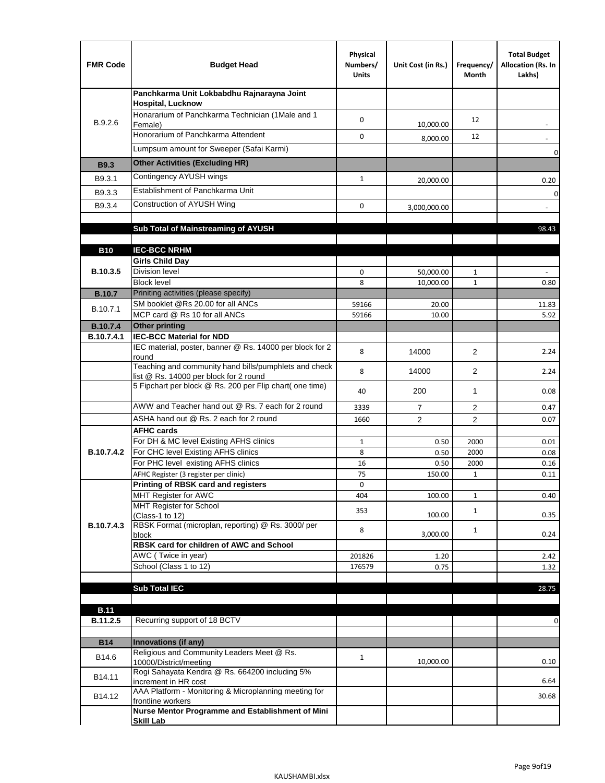| <b>FMR Code</b>               | <b>Budget Head</b>                                                                              | Physical<br>Numbers/<br><b>Units</b> | Unit Cost (in Rs.) | Frequency/<br>Month | <b>Total Budget</b><br>Allocation (Rs. In<br>Lakhs) |
|-------------------------------|-------------------------------------------------------------------------------------------------|--------------------------------------|--------------------|---------------------|-----------------------------------------------------|
|                               | Panchkarma Unit Lokbabdhu Rajnarayna Joint<br><b>Hospital, Lucknow</b>                          |                                      |                    |                     |                                                     |
| B.9.2.6                       | Honararium of Panchkarma Technician (1Male and 1<br>Female)                                     | 0                                    | 10,000.00          | 12                  |                                                     |
|                               | Honorarium of Panchkarma Attendent                                                              | 0                                    | 8,000.00           | 12                  |                                                     |
|                               | Lumpsum amount for Sweeper (Safai Karmi)                                                        |                                      |                    |                     | 0                                                   |
| <b>B9.3</b>                   | <b>Other Activities (Excluding HR)</b>                                                          |                                      |                    |                     |                                                     |
| B9.3.1                        | Contingency AYUSH wings                                                                         | $\mathbf{1}$                         | 20,000.00          |                     | 0.20                                                |
| B9.3.3                        | Establishment of Panchkarma Unit                                                                |                                      |                    |                     | $\mathbf 0$                                         |
| B9.3.4                        | Construction of AYUSH Wing                                                                      | 0                                    | 3,000,000.00       |                     |                                                     |
|                               |                                                                                                 |                                      |                    |                     |                                                     |
|                               | Sub Total of Mainstreaming of AYUSH                                                             |                                      |                    |                     | 98.43                                               |
|                               |                                                                                                 |                                      |                    |                     |                                                     |
| <b>B10</b>                    | <b>IEC-BCC NRHM</b>                                                                             |                                      |                    |                     |                                                     |
| B.10.3.5                      | <b>Girls Child Day</b><br><b>Division level</b>                                                 | 0                                    | 50,000.00          | 1                   |                                                     |
|                               | <b>Block level</b>                                                                              | 8                                    | 10,000.00          | $\mathbf{1}$        | 0.80                                                |
| <b>B.10.7</b>                 | Priniting activities (please specify)                                                           |                                      |                    |                     |                                                     |
| B.10.7.1                      | SM booklet @Rs 20.00 for all ANCs                                                               | 59166                                | 20.00              |                     | 11.83                                               |
|                               | MCP card @ Rs 10 for all ANCs                                                                   | 59166                                | 10.00              |                     | 5.92                                                |
| <b>B.10.7.4</b><br>B.10.7.4.1 | <b>Other printing</b><br><b>IEC-BCC Material for NDD</b>                                        |                                      |                    |                     |                                                     |
|                               | IEC material, poster, banner @ Rs. 14000 per block for 2<br>round                               | 8                                    | 14000              | $\overline{2}$      | 2.24                                                |
|                               | Teaching and community hand bills/pumphlets and check<br>list @ Rs. 14000 per block for 2 round | 8                                    | 14000              | $\overline{2}$      | 2.24                                                |
|                               | 5 Fipchart per block @ Rs. 200 per Flip chart( one time)                                        | 40                                   | 200                | 1                   | 0.08                                                |
|                               | AWW and Teacher hand out @ Rs. 7 each for 2 round                                               | 3339                                 | $\overline{7}$     | 2                   | 0.47                                                |
|                               | ASHA hand out @ Rs. 2 each for 2 round                                                          | 1660                                 | $\overline{2}$     | $\overline{2}$      | 0.07                                                |
|                               | <b>AFHC cards</b>                                                                               |                                      |                    |                     |                                                     |
|                               | For DH & MC level Existing AFHS clinics                                                         | $\mathbf{1}$                         | 0.50               | 2000                | 0.01                                                |
| B.10.7.4.2                    | For CHC level Existing AFHS clinics<br>For PHC level existing AFHS clinics                      | 8<br>16                              | 0.50<br>0.50       | 2000<br>2000        | 0.08<br>0.16                                        |
|                               | AFHC Register (3 register per clinic)                                                           | 75                                   | 150.00             | $\mathbf{1}$        | 0.11                                                |
|                               | Printing of RBSK card and registers                                                             | 0                                    |                    |                     |                                                     |
|                               | MHT Register for AWC                                                                            | 404                                  | 100.00             | $\mathbf{1}$        | 0.40                                                |
|                               | MHT Register for School<br>(Class-1 to 12)                                                      | 353                                  | 100.00             | $\mathbf{1}$        | 0.35                                                |
| B.10.7.4.3                    | RBSK Format (microplan, reporting) @ Rs. 3000/ per                                              | 8                                    |                    | $\mathbf{1}$        |                                                     |
|                               | block<br>RBSK card for children of AWC and School                                               |                                      | 3,000.00           |                     | 0.24                                                |
|                               | AWC (Twice in year)                                                                             | 201826                               | 1.20               |                     | 2.42                                                |
|                               | School (Class 1 to 12)                                                                          | 176579                               | 0.75               |                     | 1.32                                                |
|                               |                                                                                                 |                                      |                    |                     |                                                     |
|                               | <b>Sub Total IEC</b>                                                                            |                                      |                    |                     | 28.75                                               |
| <b>B.11</b>                   |                                                                                                 |                                      |                    |                     |                                                     |
| B.11.2.5                      | Recurring support of 18 BCTV                                                                    |                                      |                    |                     | 0                                                   |
|                               |                                                                                                 |                                      |                    |                     |                                                     |
| <b>B14</b>                    | Innovations (if any)                                                                            |                                      |                    |                     |                                                     |
| B14.6                         | Religious and Community Leaders Meet @ Rs.<br>10000/District/meeting                            | $\mathbf{1}$                         | 10,000.00          |                     | 0.10                                                |
| B14.11                        | Rogi Sahayata Kendra @ Rs. 664200 including 5%<br>increment in HR cost                          |                                      |                    |                     | 6.64                                                |
| B14.12                        | AAA Platform - Monitoring & Microplanning meeting for<br>frontline workers                      |                                      |                    |                     | 30.68                                               |
|                               | Nurse Mentor Programme and Establishment of Mini                                                |                                      |                    |                     |                                                     |
|                               | <b>Skill Lab</b>                                                                                |                                      |                    |                     |                                                     |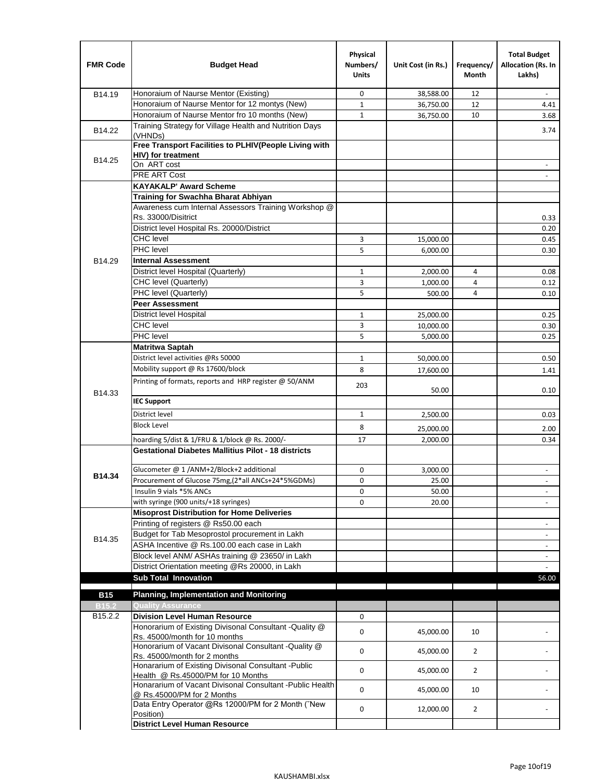| <b>FMR Code</b>     | <b>Budget Head</b>                                                                              | Physical<br>Numbers/<br><b>Units</b> | Unit Cost (in Rs.) | Frequency/<br>Month | <b>Total Budget</b><br>Allocation (Rs. In<br>Lakhs) |
|---------------------|-------------------------------------------------------------------------------------------------|--------------------------------------|--------------------|---------------------|-----------------------------------------------------|
| B14.19              | Honoraium of Naurse Mentor (Existing)                                                           | 0                                    | 38,588.00          | 12                  |                                                     |
|                     | Honoraium of Naurse Mentor for 12 montys (New)                                                  | $\mathbf 1$                          | 36,750.00          | 12                  | 4.41                                                |
|                     | Honoraium of Naurse Mentor fro 10 months (New)                                                  | $\mathbf{1}$                         | 36,750.00          | 10                  | 3.68                                                |
| B14.22              | Training Strategy for Village Health and Nutrition Days<br>(VHNDs)                              |                                      |                    |                     | 3.74                                                |
|                     | Free Transport Facilities to PLHIV(People Living with                                           |                                      |                    |                     |                                                     |
| B14.25              | HIV) for treatment                                                                              |                                      |                    |                     |                                                     |
|                     | On ART cost                                                                                     |                                      |                    |                     |                                                     |
|                     | <b>PRE ART Cost</b>                                                                             |                                      |                    |                     | $\overline{a}$                                      |
|                     | <b>KAYAKALP' Award Scheme</b>                                                                   |                                      |                    |                     |                                                     |
|                     | Training for Swachha Bharat Abhiyan                                                             |                                      |                    |                     |                                                     |
|                     | Awareness cum Internal Assessors Training Workshop @                                            |                                      |                    |                     |                                                     |
|                     | Rs. 33000/Disitrict                                                                             |                                      |                    |                     | 0.33                                                |
|                     | District level Hospital Rs. 20000/District                                                      |                                      |                    |                     | 0.20                                                |
|                     | <b>CHC</b> level<br>PHC level                                                                   | 3                                    | 15,000.00          |                     | 0.45                                                |
|                     |                                                                                                 | 5                                    | 6,000.00           |                     | 0.30                                                |
| B14.29              | <b>Internal Assessment</b>                                                                      |                                      |                    |                     |                                                     |
|                     | District level Hospital (Quarterly)                                                             | $\mathbf 1$                          | 2,000.00           | 4                   | 0.08                                                |
|                     | CHC level (Quarterly)                                                                           | 3                                    | 1,000.00           | $\overline{4}$      | 0.12                                                |
|                     | PHC level (Quarterly)                                                                           | 5                                    | 500.00             | 4                   | 0.10                                                |
|                     | <b>Peer Assessment</b>                                                                          |                                      |                    |                     |                                                     |
|                     | <b>District level Hospital</b><br><b>CHC</b> level                                              | 1                                    | 25,000.00          |                     | 0.25                                                |
|                     | PHC level                                                                                       | 3                                    | 10,000.00          |                     | 0.30                                                |
|                     |                                                                                                 | 5                                    | 5,000.00           |                     | 0.25                                                |
|                     | <b>Matritwa Saptah</b><br>District level activities @Rs 50000                                   |                                      |                    |                     |                                                     |
|                     |                                                                                                 | 1                                    | 50,000.00          |                     | 0.50                                                |
|                     | Mobility support @ Rs 17600/block                                                               | 8                                    | 17,600.00          |                     | 1.41                                                |
| B14.33              | Printing of formats, reports and HRP register @ 50/ANM                                          | 203                                  | 50.00              |                     | 0.10                                                |
|                     | <b>IEC Support</b>                                                                              |                                      |                    |                     |                                                     |
|                     | District level                                                                                  | 1                                    | 2,500.00           |                     | 0.03                                                |
|                     | <b>Block Level</b>                                                                              | 8                                    | 25,000.00          |                     | 2.00                                                |
|                     | hoarding 5/dist & 1/FRU & 1/block @ Rs. 2000/-                                                  | 17                                   | 2,000.00           |                     | 0.34                                                |
|                     | <b>Gestational Diabetes Mallitius Pilot - 18 districts</b>                                      |                                      |                    |                     |                                                     |
|                     | Glucometer @ 1 /ANM+2/Block+2 additional                                                        | 0                                    | 3,000.00           |                     |                                                     |
| B14.34              | Procurement of Glucose 75mg, (2*all ANCs+24*5%GDMs)                                             | 0                                    | 25.00              |                     |                                                     |
|                     | Insulin 9 vials *5% ANCs                                                                        | 0                                    | 50.00              |                     | $\blacksquare$                                      |
|                     | with syringe (900 units/+18 syringes)                                                           | 0                                    | 20.00              |                     |                                                     |
|                     | <b>Misoprost Distribution for Home Deliveries</b>                                               |                                      |                    |                     |                                                     |
|                     | Printing of registers @ Rs50.00 each                                                            |                                      |                    |                     | $\overline{\phantom{a}}$                            |
|                     | Budget for Tab Mesoprostol procurement in Lakh                                                  |                                      |                    |                     | $\blacksquare$                                      |
| B14.35              | ASHA Incentive @ Rs.100.00 each case in Lakh                                                    |                                      |                    |                     | $\overline{\phantom{a}}$                            |
|                     | Block level ANM/ ASHAs training @ 23650/ in Lakh                                                |                                      |                    |                     |                                                     |
|                     | District Orientation meeting @Rs 20000, in Lakh                                                 |                                      |                    |                     | $\omega$                                            |
|                     | <b>Sub Total Innovation</b>                                                                     |                                      |                    |                     | 56.00                                               |
| <b>B15</b>          | <b>Planning, Implementation and Monitoring</b>                                                  |                                      |                    |                     |                                                     |
| <b>B15.2</b>        | <b>Quality Assurance</b>                                                                        |                                      |                    |                     |                                                     |
| B <sub>15.2.2</sub> | <b>Division Level Human Resource</b>                                                            | 0                                    |                    |                     |                                                     |
|                     | Honorarium of Existing Divisonal Consultant - Quality @                                         |                                      |                    |                     |                                                     |
|                     | Rs. 45000/month for 10 months                                                                   | 0                                    | 45,000.00          | 10                  |                                                     |
|                     | Honorarium of Vacant Divisonal Consultant - Quality @                                           | 0                                    | 45,000.00          | $\overline{2}$      |                                                     |
|                     | Rs. 45000/month for 2 months                                                                    |                                      |                    |                     |                                                     |
|                     | Honararium of Existing Divisonal Consultant - Public                                            | 0                                    | 45,000.00          | $\overline{2}$      |                                                     |
|                     | Health @ Rs.45000/PM for 10 Months<br>Honararium of Vacant Divisonal Consultant - Public Health |                                      |                    |                     |                                                     |
|                     | @ Rs.45000/PM for 2 Months                                                                      | 0                                    | 45,000.00          | 10                  |                                                     |
|                     | Data Entry Operator @Rs 12000/PM for 2 Month ("New<br>Position)                                 | 0                                    | 12,000.00          | $\overline{2}$      |                                                     |
|                     | <b>District Level Human Resource</b>                                                            |                                      |                    |                     |                                                     |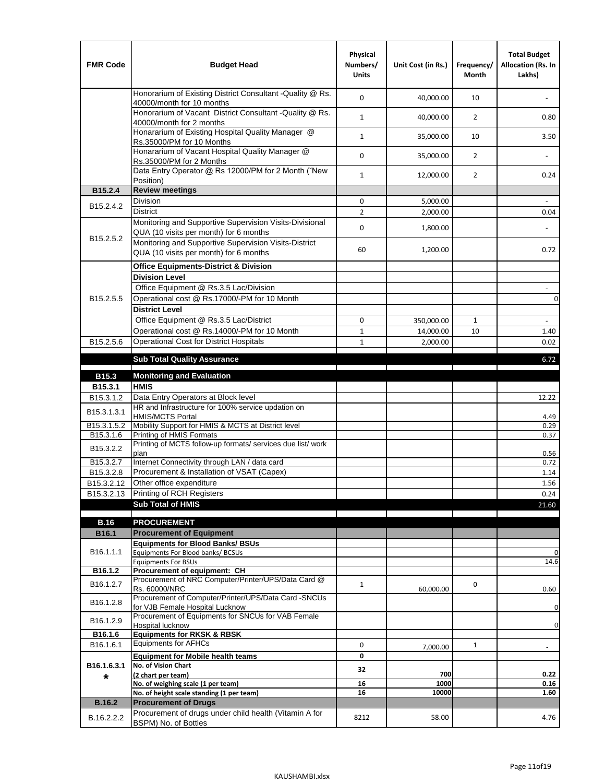| <b>FMR Code</b>         | <b>Budget Head</b>                                                                                | Physical<br>Numbers/<br><b>Units</b> | Unit Cost (in Rs.) | Frequency/<br><b>Month</b> | <b>Total Budget</b><br>Allocation (Rs. In<br>Lakhs) |
|-------------------------|---------------------------------------------------------------------------------------------------|--------------------------------------|--------------------|----------------------------|-----------------------------------------------------|
|                         | Honorarium of Existing District Consultant -Quality @ Rs.<br>40000/month for 10 months            | $\mathbf 0$                          | 40,000.00          | 10                         |                                                     |
|                         | Honorarium of Vacant District Consultant -Quality @ Rs.<br>40000/month for 2 months               | $\mathbf{1}$                         | 40,000.00          | $\overline{2}$             | 0.80                                                |
|                         | Honararium of Existing Hospital Quality Manager @<br>Rs.35000/PM for 10 Months                    | $\mathbf{1}$                         | 35,000.00          | 10                         | 3.50                                                |
|                         | Honararium of Vacant Hospital Quality Manager @<br>Rs.35000/PM for 2 Months                       | $\mathbf 0$                          | 35,000.00          | $\overline{2}$             |                                                     |
|                         | Data Entry Operator @ Rs 12000/PM for 2 Month ("New<br>Position)                                  | $\mathbf{1}$                         | 12,000.00          | $\overline{2}$             | 0.24                                                |
| B15.2.4                 | <b>Review meetings</b>                                                                            |                                      |                    |                            |                                                     |
| B <sub>15.2</sub> .4.2  | Division                                                                                          | 0                                    | 5,000.00           |                            |                                                     |
|                         | <b>District</b>                                                                                   | $\overline{2}$                       | 2,000.00           |                            | 0.04                                                |
|                         | Monitoring and Supportive Supervision Visits-Divisional<br>QUA (10 visits per month) for 6 months | $\mathbf 0$                          | 1,800.00           |                            |                                                     |
| B15.2.5.2               | Monitoring and Supportive Supervision Visits-District<br>QUA (10 visits per month) for 6 months   | 60                                   | 1,200.00           |                            | 0.72                                                |
|                         | <b>Office Equipments-District &amp; Division</b>                                                  |                                      |                    |                            |                                                     |
|                         | <b>Division Level</b>                                                                             |                                      |                    |                            |                                                     |
|                         | Office Equipment @ Rs.3.5 Lac/Division                                                            |                                      |                    |                            | $\sim$                                              |
| B15.2.5.5               | Operational cost @ Rs.17000/-PM for 10 Month                                                      |                                      |                    |                            | $\pmb{0}$                                           |
|                         | <b>District Level</b>                                                                             |                                      |                    |                            |                                                     |
|                         | Office Equipment @ Rs.3.5 Lac/District                                                            | 0                                    | 350,000.00         | $\mathbf{1}$               | $\blacksquare$                                      |
|                         | Operational cost @ Rs.14000/-PM for 10 Month                                                      | $1\,$                                | 14,000.00          | 10                         | 1.40                                                |
| B15.2.5.6               | <b>Operational Cost for District Hospitals</b>                                                    | $\mathbf{1}$                         | 2,000.00           |                            | 0.02                                                |
|                         | <b>Sub Total Quality Assurance</b>                                                                |                                      |                    |                            | 6.72                                                |
| B15.3                   | <b>Monitoring and Evaluation</b>                                                                  |                                      |                    |                            |                                                     |
| B15.3.1                 | <b>HMIS</b>                                                                                       |                                      |                    |                            |                                                     |
| B15.3.1.2               | Data Entry Operators at Block level                                                               |                                      |                    |                            | 12.22                                               |
| B15.3.1.3.1             | HR and Infrastructure for 100% service updation on<br><b>HMIS/MCTS Portal</b>                     |                                      |                    |                            | 4.49                                                |
| B <sub>15.3.1.5.2</sub> | Mobility Support for HMIS & MCTS at District level                                                |                                      |                    |                            | 0.29                                                |
| B15.3.1.6               | Printing of HMIS Formats                                                                          |                                      |                    |                            | 0.37                                                |
| B15.3.2.2               | Printing of MCTS follow-up formats/ services due list/ work<br>plan                               |                                      |                    |                            | 0.56                                                |
| B15.3.2.7               | Internet Connectivity through LAN / data card                                                     |                                      |                    |                            | 0.72                                                |
| B15.3.2.8               | Procurement & Installation of VSAT (Capex)                                                        |                                      |                    |                            | 1.14                                                |
| B15.3.2.12              | Other office expenditure                                                                          |                                      |                    |                            | 1.56                                                |
| B15.3.2.13              | Printing of RCH Registers                                                                         |                                      |                    |                            | 0.24                                                |
|                         | <b>Sub Total of HMIS</b>                                                                          |                                      |                    |                            | 21.60                                               |
| <b>B.16</b>             | <b>PROCUREMENT</b>                                                                                |                                      |                    |                            |                                                     |
| B16.1                   | <b>Procurement of Equipment</b>                                                                   |                                      |                    |                            |                                                     |
|                         | <b>Equipments for Blood Banks/ BSUs</b>                                                           |                                      |                    |                            |                                                     |
| B16.1.1.1               | Equipments For Blood banks/ BCSUs                                                                 |                                      |                    |                            | 0                                                   |
| B16.1.2                 | <b>Equipments For BSUs</b><br>Procurement of equipment: CH                                        |                                      |                    |                            | 14.6                                                |
|                         | Procurement of NRC Computer/Printer/UPS/Data Card @                                               |                                      |                    |                            |                                                     |
| B16.1.2.7               | Rs. 60000/NRC                                                                                     | $\mathbf{1}$                         | 60,000.00          | 0                          | 0.60                                                |
| B16.1.2.8               | Procurement of Computer/Printer/UPS/Data Card -SNCUs                                              |                                      |                    |                            |                                                     |
|                         | for VJB Female Hospital Lucknow<br>Procurement of Equipments for SNCUs for VAB Female             |                                      |                    |                            | 0                                                   |
| B16.1.2.9               | Hospital lucknow                                                                                  |                                      |                    |                            | 0                                                   |
| B16.1.6                 | <b>Equipments for RKSK &amp; RBSK</b>                                                             |                                      |                    |                            |                                                     |
| B16.1.6.1               | <b>Equipments for AFHCs</b>                                                                       | 0                                    | 7,000.00           | $\mathbf{1}$               | ÷,                                                  |
|                         | <b>Equipment for Mobile health teams</b>                                                          | 0                                    |                    |                            |                                                     |
| B16.1.6.3.1             | No. of Vision Chart                                                                               | 32                                   | 700                |                            | 0.22                                                |
| *                       | (2 chart per team)<br>No. of weighing scale (1 per team)                                          | 16                                   | 1000               |                            | 0.16                                                |
|                         | No. of height scale standing (1 per team)                                                         | 16                                   | 10000              |                            | 1.60                                                |
| <b>B.16.2</b>           | <b>Procurement of Drugs</b>                                                                       |                                      |                    |                            |                                                     |
| B.16.2.2.2              | Procurement of drugs under child health (Vitamin A for                                            | 8212                                 | 58.00              |                            | 4.76                                                |
|                         | BSPM) No. of Bottles                                                                              |                                      |                    |                            |                                                     |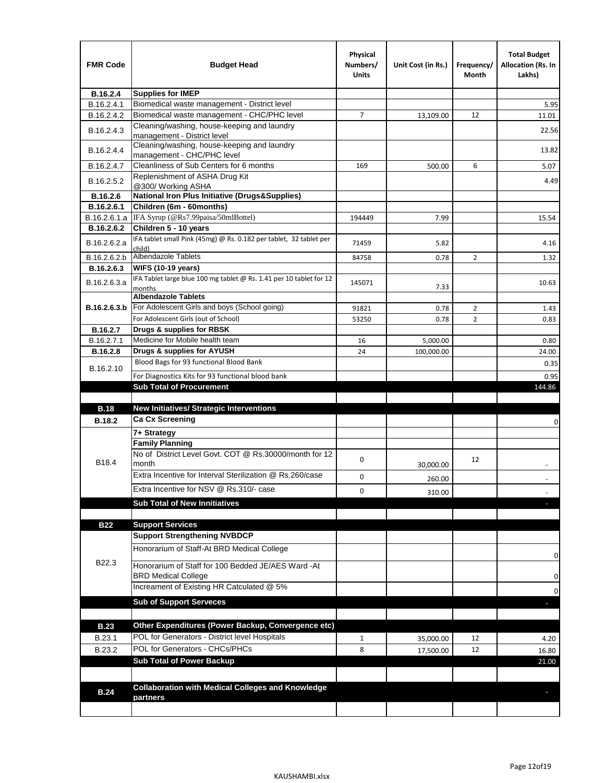| <b>FMR Code</b> | <b>Budget Head</b>                                                            | Physical<br>Numbers/<br><b>Units</b> | Unit Cost (in Rs.) | Frequency/<br>Month | <b>Total Budget</b><br><b>Allocation (Rs. In</b><br>Lakhs) |
|-----------------|-------------------------------------------------------------------------------|--------------------------------------|--------------------|---------------------|------------------------------------------------------------|
| B.16.2.4        | <b>Supplies for IMEP</b>                                                      |                                      |                    |                     |                                                            |
| B.16.2.4.1      | Biomedical waste management - District level                                  |                                      |                    |                     | 5.95                                                       |
| B.16.2.4.2      | Biomedical waste management - CHC/PHC level                                   | 7                                    | 13,109.00          | 12                  | 11.01                                                      |
| B.16.2.4.3      | Cleaning/washing, house-keeping and laundry<br>management - District level    |                                      |                    |                     | 22.56                                                      |
| B.16.2.4.4      | Cleaning/washing, house-keeping and laundry<br>management - CHC/PHC level     |                                      |                    |                     | 13.82                                                      |
| B.16.2.4.7      | Cleanliness of Sub Centers for 6 months                                       | 169                                  | 500.00             | 6                   | 5.07                                                       |
| B.16.2.5.2      | Replenishment of ASHA Drug Kit<br>@300/ Working ASHA                          |                                      |                    |                     | 4.49                                                       |
| B.16.2.6        | <b>National Iron Plus Initiative (Drugs&amp;Supplies)</b>                     |                                      |                    |                     |                                                            |
| B.16.2.6.1      | Children (6m - 60months)                                                      |                                      |                    |                     |                                                            |
| B.16.2.6.1.a    | IFA Syrup (@Rs7.99paisa/50mlBottel)                                           | 194449                               | 7.99               |                     | 15.54                                                      |
| B.16.2.6.2      | Children 5 - 10 years                                                         |                                      |                    |                     |                                                            |
| B.16.2.6.2.a    | IFA tablet small Pink (45mg) @ Rs. 0.182 per tablet, 32 tablet per<br>child)  | 71459                                | 5.82               |                     | 4.16                                                       |
| B.16.2.6.2.b    | <b>Albendazole Tablets</b>                                                    | 84758                                | 0.78               | 2                   | 1.32                                                       |
| B.16.2.6.3      | <b>WIFS (10-19 years)</b>                                                     |                                      |                    |                     |                                                            |
| B.16.2.6.3.a    | IFA Tablet large blue 100 mg tablet @ Rs. 1.41 per 10 tablet for 12<br>months | 145071                               | 7.33               |                     | 10.63                                                      |
|                 | <b>Albendazole Tablets</b>                                                    |                                      |                    |                     |                                                            |
| B.16.2.6.3.b    | For Adolescent Girls and boys (School going)                                  | 91821                                | 0.78               | $\overline{2}$      | 1.43                                                       |
|                 | For Adolescent Girls (out of School)                                          | 53250                                | 0.78               | $\overline{2}$      | 0.83                                                       |
| B.16.2.7        | Drugs & supplies for RBSK                                                     |                                      |                    |                     |                                                            |
| B.16.2.7.1      | Medicine for Mobile health team                                               | 16                                   | 5,000.00           |                     | 0.80                                                       |
| <b>B.16.2.8</b> | Drugs & supplies for AYUSH<br>Blood Bags for 93 functional Blood Bank         | 24                                   | 100,000.00         |                     | 24.00                                                      |
| B.16.2.10       |                                                                               |                                      |                    |                     | 0.35                                                       |
|                 | For Diagnostics Kits for 93 functional blood bank                             |                                      |                    |                     | 0.95                                                       |
|                 | <b>Sub Total of Procurement</b>                                               |                                      |                    |                     | 144.86                                                     |
| <b>B.18</b>     | <b>New Initiatives/ Strategic Interventions</b>                               |                                      |                    |                     |                                                            |
| <b>B.18.2</b>   | <b>Ca Cx Screening</b>                                                        |                                      |                    |                     |                                                            |
|                 |                                                                               |                                      |                    |                     | 0                                                          |
|                 | 7+ Strategy<br><b>Family Planning</b>                                         |                                      |                    |                     |                                                            |
| B18.4           | No of District Level Govt. COT @ Rs.30000/month for 12<br>month               | 0                                    |                    | 12                  |                                                            |
|                 | Extra Incentive for Interval Sterilization @ Rs.260/case                      |                                      | 30,000.00          |                     |                                                            |
|                 |                                                                               | 0                                    | 260.00             |                     |                                                            |
|                 | Extra Incentive for NSV @ Rs.310/- case                                       | 0                                    | 310.00             |                     |                                                            |
|                 | <b>Sub Total of New Innitiatives</b>                                          |                                      |                    |                     |                                                            |
|                 |                                                                               |                                      |                    |                     |                                                            |
| <b>B22</b>      | <b>Support Services</b><br><b>Support Strengthening NVBDCP</b>                |                                      |                    |                     |                                                            |
|                 | Honorarium of Staff-At BRD Medical College                                    |                                      |                    |                     |                                                            |
| B22.3           | Honorarium of Staff for 100 Bedded JE/AES Ward -At                            |                                      |                    |                     | 0                                                          |
|                 | <b>BRD Medical College</b><br>Increament of Existing HR Catculated @ 5%       |                                      |                    |                     | 0                                                          |
|                 | <b>Sub of Support Serveces</b>                                                |                                      |                    |                     | 0                                                          |
|                 |                                                                               |                                      |                    |                     |                                                            |
|                 |                                                                               |                                      |                    |                     |                                                            |
| <b>B.23</b>     | Other Expenditures (Power Backup, Convergence etc)                            |                                      |                    |                     |                                                            |
| B.23.1          | POL for Generators - District level Hospitals                                 | $\mathbf{1}$                         | 35,000.00          | 12                  | 4.20                                                       |
| B.23.2          | POL for Generators - CHCs/PHCs                                                | 8                                    | 17,500.00          | 12                  | 16.80                                                      |
|                 | <b>Sub Total of Power Backup</b>                                              |                                      |                    |                     | 21.00                                                      |
|                 |                                                                               |                                      |                    |                     |                                                            |
| <b>B.24</b>     | <b>Collaboration with Medical Colleges and Knowledge</b>                      |                                      |                    |                     |                                                            |
|                 | partners                                                                      |                                      |                    |                     |                                                            |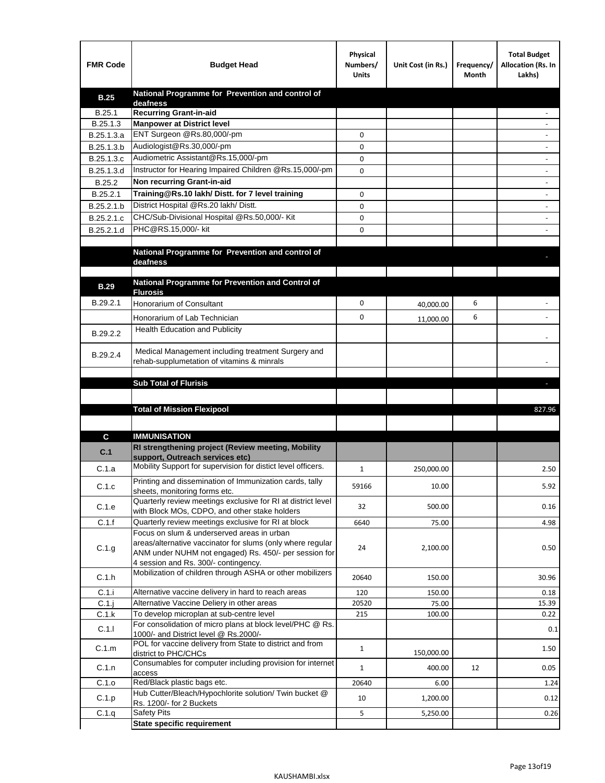| <b>FMR Code</b>   | <b>Budget Head</b>                                                                                       | Physical<br>Numbers/<br><b>Units</b> | Unit Cost (in Rs.) | Frequency/<br>Month | <b>Total Budget</b><br>Allocation (Rs. In<br>Lakhs) |
|-------------------|----------------------------------------------------------------------------------------------------------|--------------------------------------|--------------------|---------------------|-----------------------------------------------------|
| <b>B.25</b>       | National Programme for Prevention and control of                                                         |                                      |                    |                     |                                                     |
| B.25.1            | deafness<br><b>Recurring Grant-in-aid</b>                                                                |                                      |                    |                     |                                                     |
| B.25.1.3          | <b>Manpower at District level</b>                                                                        |                                      |                    |                     |                                                     |
| B.25.1.3.a        | ENT Surgeon @Rs.80,000/-pm                                                                               | 0                                    |                    |                     |                                                     |
| B.25.1.3.b        | Audiologist@Rs.30,000/-pm                                                                                | 0                                    |                    |                     |                                                     |
| B.25.1.3.c        | Audiometric Assistant@Rs.15,000/-pm                                                                      | 0                                    |                    |                     |                                                     |
| B.25.1.3.d        | Instructor for Hearing Impaired Children @Rs.15,000/-pm                                                  | 0                                    |                    |                     |                                                     |
| B.25.2            | Non recurring Grant-in-aid                                                                               |                                      |                    |                     |                                                     |
| B.25.2.1          | Training@Rs.10 lakh/ Distt. for 7 level training                                                         | 0                                    |                    |                     |                                                     |
| B.25.2.1.b        | District Hospital @Rs.20 lakh/Distt.                                                                     | 0                                    |                    |                     |                                                     |
| B.25.2.1.c        | CHC/Sub-Divisional Hospital @Rs.50,000/- Kit                                                             | 0                                    |                    |                     |                                                     |
| B.25.2.1.d        | PHC@RS.15,000/- kit                                                                                      | 0                                    |                    |                     |                                                     |
|                   |                                                                                                          |                                      |                    |                     |                                                     |
|                   | National Programme for Prevention and control of                                                         |                                      |                    |                     |                                                     |
|                   | deafness                                                                                                 |                                      |                    |                     |                                                     |
|                   | National Programme for Prevention and Control of                                                         |                                      |                    |                     |                                                     |
| <b>B.29</b>       | <b>Flurosis</b>                                                                                          |                                      |                    |                     |                                                     |
| B.29.2.1          | Honorarium of Consultant                                                                                 | 0                                    | 40,000.00          | 6                   |                                                     |
|                   | Honorarium of Lab Technician                                                                             | 0                                    | 11,000.00          | 6                   |                                                     |
| B.29.2.2          | <b>Health Education and Publicity</b>                                                                    |                                      |                    |                     |                                                     |
|                   |                                                                                                          |                                      |                    |                     |                                                     |
| B.29.2.4          | Medical Management including treatment Surgery and                                                       |                                      |                    |                     |                                                     |
|                   | rehab-supplumetation of vitamins & minrals                                                               |                                      |                    |                     |                                                     |
|                   | <b>Sub Total of Flurisis</b>                                                                             |                                      |                    |                     | п                                                   |
|                   |                                                                                                          |                                      |                    |                     |                                                     |
|                   | <b>Total of Mission Flexipool</b>                                                                        |                                      |                    |                     | 827.96                                              |
|                   |                                                                                                          |                                      |                    |                     |                                                     |
|                   | <b>IMMUNISATION</b>                                                                                      |                                      |                    |                     |                                                     |
| C                 | RI strengthening project (Review meeting, Mobility                                                       |                                      |                    |                     |                                                     |
| C.1               | support, Outreach services etc)                                                                          |                                      |                    |                     |                                                     |
| C.1.a             | Mobility Support for supervision for distict level officers.                                             | $\mathbf{1}$                         | 250,000.00         |                     | 2.50                                                |
|                   | Printing and dissemination of Immunization cards, tally                                                  |                                      |                    |                     |                                                     |
| C.1.c             | sheets, monitoring forms etc.                                                                            | 59166                                | 10.00              |                     | 5.92                                                |
| C.1.e             | Quarterly review meetings exclusive for RI at district level                                             | 32                                   | 500.00             |                     | 0.16                                                |
| C.1.f             | with Block MOs, CDPO, and other stake holders<br>Quarterly review meetings exclusive for RI at block     |                                      |                    |                     |                                                     |
|                   |                                                                                                          |                                      |                    |                     |                                                     |
|                   |                                                                                                          | 6640                                 | 75.00              |                     | 4.98                                                |
|                   | Focus on slum & underserved areas in urban<br>areas/alternative vaccinator for slums (only where regular |                                      |                    |                     |                                                     |
| C.1.g             | ANM under NUHM not engaged) Rs. 450/- per session for                                                    | 24                                   | 2,100.00           |                     | 0.50                                                |
|                   | 4 session and Rs. 300/- contingency.                                                                     |                                      |                    |                     |                                                     |
| C.1.h             | Mobilization of children through ASHA or other mobilizers                                                | 20640                                | 150.00             |                     | 30.96                                               |
|                   |                                                                                                          | 120                                  | 150.00             |                     | 0.18                                                |
| C.1.i<br>$C.1$ .j | Alternative vaccine delivery in hard to reach areas<br>Alternative Vaccine Deliery in other areas        | 20520                                | 75.00              |                     | 15.39                                               |
| C.1.k             | To develop microplan at sub-centre level                                                                 | 215                                  | 100.00             |                     | 0.22                                                |
|                   | For consolidation of micro plans at block level/PHC @ Rs.                                                |                                      |                    |                     | 0.1                                                 |
| C.1.1             | 1000/- and District level @ Rs.2000/-                                                                    |                                      |                    |                     |                                                     |
| C.1.m             | POL for vaccine delivery from State to district and from                                                 | $\mathbf{1}$                         | 150,000.00         |                     | 1.50                                                |
|                   | district to PHC/CHCs<br>Consumables for computer including provision for internet                        |                                      |                    |                     |                                                     |
| C.1.n             | access                                                                                                   | $\mathbf{1}$                         | 400.00             | 12                  | 0.05                                                |
| C.1.o             | Red/Black plastic bags etc.                                                                              | 20640                                | 6.00               |                     | 1.24                                                |
| C.1.p             | Hub Cutter/Bleach/Hypochlorite solution/ Twin bucket @<br>Rs. 1200/- for 2 Buckets                       | 10                                   | 1,200.00           |                     | 0.12                                                |
| C.1.q             | <b>Safety Pits</b><br><b>State specific requirement</b>                                                  | 5                                    | 5,250.00           |                     | 0.26                                                |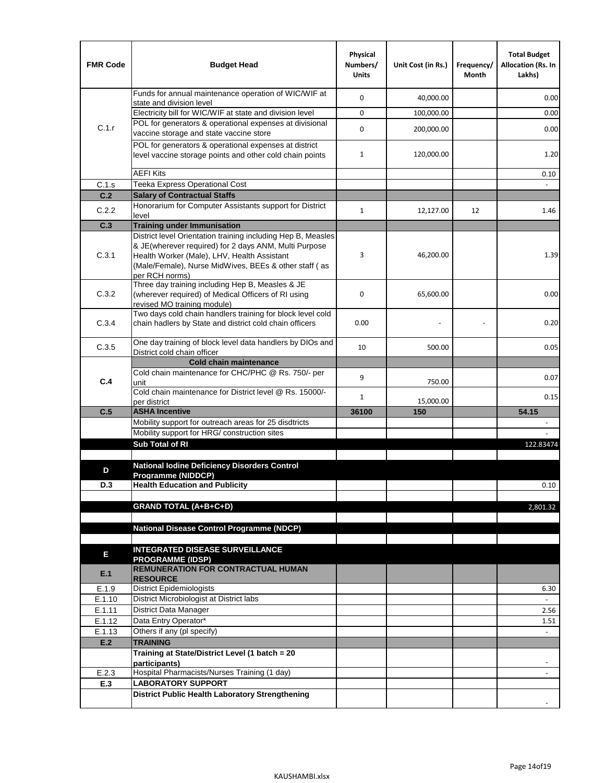| <b>FMR Code</b> | <b>Budget Head</b>                                                                                                                                                                                                                              | Physical<br>Numbers/<br><b>Units</b> | Unit Cost (in Rs.) | Frequency/<br>Month | <b>Total Budget</b><br>Allocation (Rs. In<br>Lakhs) |
|-----------------|-------------------------------------------------------------------------------------------------------------------------------------------------------------------------------------------------------------------------------------------------|--------------------------------------|--------------------|---------------------|-----------------------------------------------------|
|                 | Funds for annual maintenance operation of WIC/WIF at<br>state and division level                                                                                                                                                                | 0                                    | 40,000.00          |                     | 0.00                                                |
|                 | Electricity bill for WIC/WIF at state and division level                                                                                                                                                                                        | 0                                    | 100,000.00         |                     | 0.00                                                |
| C.1.r           | POL for generators & operational expenses at divisional<br>vaccine storage and state vaccine store                                                                                                                                              | 0                                    | 200,000.00         |                     | 0.00                                                |
|                 | POL for generators & operational expenses at district<br>level vaccine storage points and other cold chain points                                                                                                                               | $\mathbf{1}$                         | 120,000.00         |                     | 1.20                                                |
|                 | <b>AEFI Kits</b>                                                                                                                                                                                                                                |                                      |                    |                     | 0.10                                                |
| C.1.s           | Teeka Express Operational Cost                                                                                                                                                                                                                  |                                      |                    |                     |                                                     |
| C.2             | <b>Salary of Contractual Staffs</b>                                                                                                                                                                                                             |                                      |                    |                     |                                                     |
| C.2.2           | Honorarium for Computer Assistants support for District<br>level                                                                                                                                                                                | $\mathbf{1}$                         | 12,127.00          | 12                  | 1.46                                                |
| C.3             | <b>Training under Immunisation</b>                                                                                                                                                                                                              |                                      |                    |                     |                                                     |
| C.3.1           | District level Orientation training including Hep B, Measles<br>& JE(wherever required) for 2 days ANM, Multi Purpose<br>Health Worker (Male), LHV, Health Assistant<br>(Male/Female), Nurse MidWives, BEEs & other staff (as<br>per RCH norms) | 3                                    | 46,200.00          |                     | 1.39                                                |
| C.3.2           | Three day training including Hep B, Measles & JE<br>(wherever required) of Medical Officers of RI using<br>revised MO training module)                                                                                                          | 0                                    | 65,600.00          |                     | 0.00                                                |
| C.3.4           | Two days cold chain handlers training for block level cold<br>chain hadlers by State and district cold chain officers                                                                                                                           | 0.00                                 |                    |                     | 0.20                                                |
| C.3.5           | One day training of block level data handlers by DIOs and<br>District cold chain officer                                                                                                                                                        | 10                                   | 500.00             |                     | 0.05                                                |
|                 | <b>Cold chain maintenance</b>                                                                                                                                                                                                                   |                                      |                    |                     |                                                     |
| C.4             | Cold chain maintenance for CHC/PHC @ Rs. 750/- per<br>unit                                                                                                                                                                                      | 9                                    | 750.00             |                     | 0.07                                                |
|                 | Cold chain maintenance for District level @ Rs. 15000/-<br>per district                                                                                                                                                                         | 1                                    | 15,000.00          |                     | 0.15                                                |
| C.5             | <b>ASHA Incentive</b>                                                                                                                                                                                                                           | 36100                                | 150                |                     | 54.15                                               |
|                 | Mobility support for outreach areas for 25 disdtricts                                                                                                                                                                                           |                                      |                    |                     |                                                     |
|                 | Mobility support for HRG/ construction sites                                                                                                                                                                                                    |                                      |                    |                     |                                                     |
|                 | Sub Total of RI                                                                                                                                                                                                                                 |                                      |                    |                     | 122.83474                                           |
| D               | <b>National lodine Deficiency Disorders Control</b>                                                                                                                                                                                             |                                      |                    |                     |                                                     |
| D.3             | Programme (NIDDCP)<br><b>Health Education and Publicity</b>                                                                                                                                                                                     |                                      |                    |                     | 0.10                                                |
|                 | <b>GRAND TOTAL (A+B+C+D)</b>                                                                                                                                                                                                                    |                                      |                    |                     | 2,801.32                                            |
|                 |                                                                                                                                                                                                                                                 |                                      |                    |                     |                                                     |
|                 | National Disease Control Programme (NDCP)                                                                                                                                                                                                       |                                      |                    |                     |                                                     |
| Е               | <b>INTEGRATED DISEASE SURVEILLANCE</b>                                                                                                                                                                                                          |                                      |                    |                     |                                                     |
| E.1             | <b>PROGRAMME (IDSP)</b><br><b>REMUNERATION FOR CONTRACTUAL HUMAN</b><br><b>RESOURCE</b>                                                                                                                                                         |                                      |                    |                     |                                                     |
| E.1.9           | District Epidemiologists                                                                                                                                                                                                                        |                                      |                    |                     | 6.30                                                |
| E.1.10          | District Microbiologist at District labs                                                                                                                                                                                                        |                                      |                    |                     |                                                     |
| E.1.11          | District Data Manager                                                                                                                                                                                                                           |                                      |                    |                     | 2.56                                                |
| E.1.12          | Data Entry Operator*                                                                                                                                                                                                                            |                                      |                    |                     | 1.51                                                |
| E.1.13          | Others if any (pl specify)                                                                                                                                                                                                                      |                                      |                    |                     | $\omega$                                            |
| E.2             | <b>TRAINING</b>                                                                                                                                                                                                                                 |                                      |                    |                     |                                                     |
|                 | Training at State/District Level (1 batch = 20<br>participants)                                                                                                                                                                                 |                                      |                    |                     |                                                     |
| E.2.3           | Hospital Pharmacists/Nurses Training (1 day)                                                                                                                                                                                                    |                                      |                    |                     |                                                     |
| E.3             | <b>LABORATORY SUPPORT</b>                                                                                                                                                                                                                       |                                      |                    |                     |                                                     |
|                 | <b>District Public Health Laboratory Strengthening</b>                                                                                                                                                                                          |                                      |                    |                     |                                                     |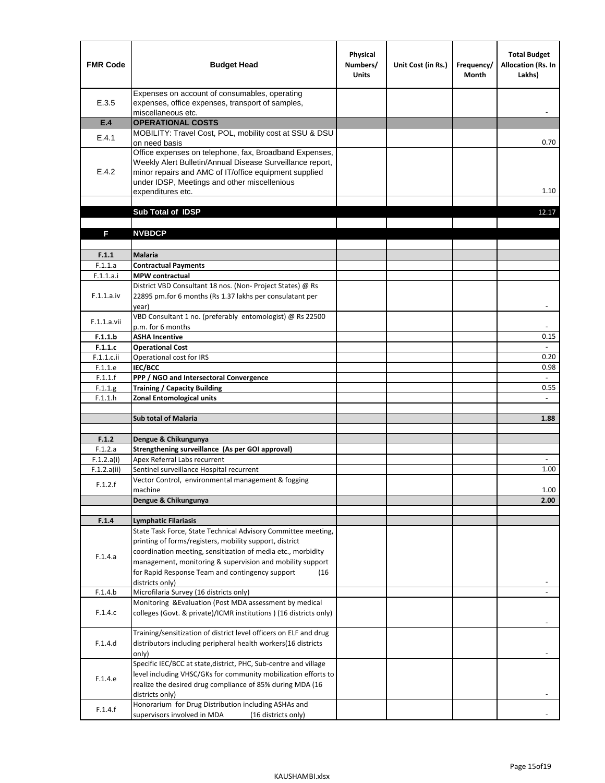| <b>FMR Code</b>    | <b>Budget Head</b>                                                                                                                                                                                                                                | Physical<br>Numbers/<br><b>Units</b> | Unit Cost (in Rs.) | Frequency/<br><b>Month</b> | <b>Total Budget</b><br><b>Allocation (Rs. In</b><br>Lakhs) |
|--------------------|---------------------------------------------------------------------------------------------------------------------------------------------------------------------------------------------------------------------------------------------------|--------------------------------------|--------------------|----------------------------|------------------------------------------------------------|
| E.3.5              | Expenses on account of consumables, operating<br>expenses, office expenses, transport of samples,<br>miscellaneous etc.                                                                                                                           |                                      |                    |                            |                                                            |
| E.4                | <b>OPERATIONAL COSTS</b>                                                                                                                                                                                                                          |                                      |                    |                            |                                                            |
| E.4.1              | MOBILITY: Travel Cost, POL, mobility cost at SSU & DSU                                                                                                                                                                                            |                                      |                    |                            |                                                            |
|                    | on need basis                                                                                                                                                                                                                                     |                                      |                    |                            | 0.70                                                       |
| E.4.2              | Office expenses on telephone, fax, Broadband Expenses,<br>Weekly Alert Bulletin/Annual Disease Surveillance report,<br>minor repairs and AMC of IT/office equipment supplied<br>under IDSP, Meetings and other miscellenious<br>expenditures etc. |                                      |                    |                            | 1.10                                                       |
|                    | Sub Total of IDSP                                                                                                                                                                                                                                 |                                      |                    |                            | 12.17                                                      |
|                    |                                                                                                                                                                                                                                                   |                                      |                    |                            |                                                            |
| F                  | <b>NVBDCP</b>                                                                                                                                                                                                                                     |                                      |                    |                            |                                                            |
|                    |                                                                                                                                                                                                                                                   |                                      |                    |                            |                                                            |
| F.1.1              | <b>Malaria</b>                                                                                                                                                                                                                                    |                                      |                    |                            |                                                            |
| F.1.1.a            | <b>Contractual Payments</b>                                                                                                                                                                                                                       |                                      |                    |                            |                                                            |
| F.1.1.a.i          | <b>MPW</b> contractual<br>District VBD Consultant 18 nos. (Non-Project States) @ Rs                                                                                                                                                               |                                      |                    |                            |                                                            |
| F.1.1.a.iv         | 22895 pm.for 6 months (Rs 1.37 lakhs per consulatant per<br>year)                                                                                                                                                                                 |                                      |                    |                            | $\overline{\phantom{a}}$                                   |
|                    | VBD Consultant 1 no. (preferably entomologist) @ Rs 22500                                                                                                                                                                                         |                                      |                    |                            |                                                            |
| F.1.1.a.vii        | p.m. for 6 months                                                                                                                                                                                                                                 |                                      |                    |                            |                                                            |
| F.1.1.b            | <b>ASHA Incentive</b>                                                                                                                                                                                                                             |                                      |                    |                            | 0.15                                                       |
| F.1.1.c            | <b>Operational Cost</b>                                                                                                                                                                                                                           |                                      |                    |                            |                                                            |
| F.1.1.c.ii         | Operational cost for IRS                                                                                                                                                                                                                          |                                      |                    |                            | 0.20                                                       |
| F.1.1.e<br>F.1.1.f | <b>IEC/BCC</b><br>PPP / NGO and Intersectoral Convergence                                                                                                                                                                                         |                                      |                    |                            | 0.98<br>$\omega$                                           |
| F.1.1.g            | <b>Training / Capacity Building</b>                                                                                                                                                                                                               |                                      |                    |                            | 0.55                                                       |
| F.1.1.h            | <b>Zonal Entomological units</b>                                                                                                                                                                                                                  |                                      |                    |                            |                                                            |
|                    |                                                                                                                                                                                                                                                   |                                      |                    |                            |                                                            |
|                    | <b>Sub total of Malaria</b>                                                                                                                                                                                                                       |                                      |                    |                            | 1.88                                                       |
|                    |                                                                                                                                                                                                                                                   |                                      |                    |                            |                                                            |
| F.1.2<br>F.1.2.a   | Dengue & Chikungunya<br>Strengthening surveillance (As per GOI approval)                                                                                                                                                                          |                                      |                    |                            |                                                            |
| F.1.2.a(i)         | Apex Referral Labs recurrent                                                                                                                                                                                                                      |                                      |                    |                            |                                                            |
| F.1.2.a(ii)        | Sentinel surveillance Hospital recurrent                                                                                                                                                                                                          |                                      |                    |                            | 1.00                                                       |
| F.1.2.f            | Vector Control, environmental management & fogging                                                                                                                                                                                                |                                      |                    |                            |                                                            |
|                    | machine                                                                                                                                                                                                                                           |                                      |                    |                            | 1.00                                                       |
|                    | Dengue & Chikungunya                                                                                                                                                                                                                              |                                      |                    |                            | 2.00                                                       |
|                    |                                                                                                                                                                                                                                                   |                                      |                    |                            |                                                            |
| F.1.4              | <b>Lymphatic Filariasis</b><br>State Task Force, State Technical Advisory Committee meeting,                                                                                                                                                      |                                      |                    |                            |                                                            |
|                    | printing of forms/registers, mobility support, district                                                                                                                                                                                           |                                      |                    |                            |                                                            |
|                    | coordination meeting, sensitization of media etc., morbidity                                                                                                                                                                                      |                                      |                    |                            |                                                            |
| F.1.4.a            | management, monitoring & supervision and mobility support                                                                                                                                                                                         |                                      |                    |                            |                                                            |
|                    | for Rapid Response Team and contingency support<br>(16)                                                                                                                                                                                           |                                      |                    |                            |                                                            |
|                    | districts only)                                                                                                                                                                                                                                   |                                      |                    |                            |                                                            |
| F.1.4.b            | Microfilaria Survey (16 districts only)                                                                                                                                                                                                           |                                      |                    |                            |                                                            |
| F.1.4.c            | Monitoring & Evaluation (Post MDA assessment by medical<br>colleges (Govt. & private)/ICMR institutions ) (16 districts only)                                                                                                                     |                                      |                    |                            |                                                            |
|                    | Training/sensitization of district level officers on ELF and drug                                                                                                                                                                                 |                                      |                    |                            |                                                            |
| F.1.4.d            | distributors including peripheral health workers(16 districts                                                                                                                                                                                     |                                      |                    |                            |                                                            |
|                    | only)                                                                                                                                                                                                                                             |                                      |                    |                            |                                                            |
|                    | Specific IEC/BCC at state, district, PHC, Sub-centre and village                                                                                                                                                                                  |                                      |                    |                            |                                                            |
| F.1.4.e            | level including VHSC/GKs for community mobilization efforts to                                                                                                                                                                                    |                                      |                    |                            |                                                            |
|                    | realize the desired drug compliance of 85% during MDA (16                                                                                                                                                                                         |                                      |                    |                            |                                                            |
|                    | districts only)<br>Honorarium for Drug Distribution including ASHAs and                                                                                                                                                                           |                                      |                    |                            |                                                            |
| F.1.4.f            | supervisors involved in MDA<br>(16 districts only)                                                                                                                                                                                                |                                      |                    |                            |                                                            |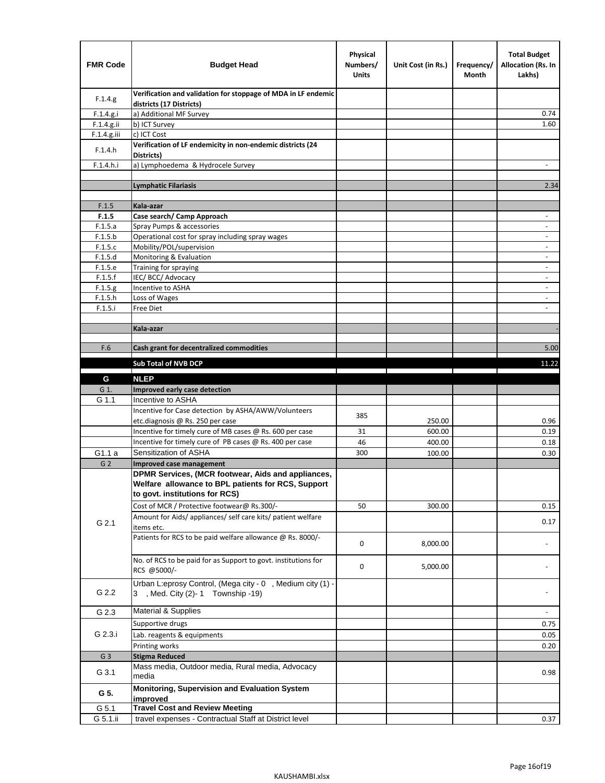| <b>FMR Code</b> | <b>Budget Head</b>                                                                                                                         | Physical<br>Numbers/<br><b>Units</b> | Unit Cost (in Rs.)                                                              | Frequency/<br>Month               | <b>Total Budget</b><br><b>Allocation (Rs. In</b><br>Lakhs) |
|-----------------|--------------------------------------------------------------------------------------------------------------------------------------------|--------------------------------------|---------------------------------------------------------------------------------|-----------------------------------|------------------------------------------------------------|
| F.1.4.g.        | Verification and validation for stoppage of MDA in LF endemic<br>districts (17 Districts)                                                  |                                      |                                                                                 |                                   |                                                            |
| F.1.4.g.i       | a) Additional MF Survey                                                                                                                    |                                      |                                                                                 |                                   | 0.74                                                       |
| F.1.4.g.ii      | b) ICT Survey                                                                                                                              |                                      |                                                                                 |                                   | 1.60                                                       |
| $F.1.4.g.$ iii  | c) ICT Cost                                                                                                                                |                                      |                                                                                 |                                   |                                                            |
| F.1.4.h         | Verification of LF endemicity in non-endemic districts (24<br>Districts)                                                                   |                                      |                                                                                 |                                   |                                                            |
| F.1.4.h.i       | a) Lymphoedema & Hydrocele Survey                                                                                                          |                                      |                                                                                 |                                   | $\overline{\phantom{a}}$                                   |
|                 | <b>Lymphatic Filariasis</b>                                                                                                                |                                      |                                                                                 |                                   | 2.34                                                       |
|                 |                                                                                                                                            |                                      |                                                                                 |                                   |                                                            |
| F.1.5           | Kala-azar                                                                                                                                  |                                      |                                                                                 |                                   |                                                            |
| F.1.5           | Case search/ Camp Approach                                                                                                                 |                                      |                                                                                 |                                   | $\overline{\phantom{a}}$                                   |
| F.1.5.a         | Spray Pumps & accessories                                                                                                                  |                                      |                                                                                 |                                   | $\overline{\phantom{a}}$                                   |
| F.1.5.b         | Operational cost for spray including spray wages                                                                                           |                                      |                                                                                 |                                   |                                                            |
| F.1.5.c         | Mobility/POL/supervision                                                                                                                   |                                      |                                                                                 |                                   | $\blacksquare$                                             |
| F.1.5.d         | Monitoring & Evaluation                                                                                                                    |                                      |                                                                                 |                                   | $\overline{\phantom{a}}$                                   |
| F.1.5.e         | Training for spraying                                                                                                                      |                                      |                                                                                 |                                   | $\overline{\phantom{a}}$                                   |
| F.1.5.f         | IEC/BCC/Advocacy                                                                                                                           |                                      |                                                                                 |                                   |                                                            |
| F.1.5.g         | Incentive to ASHA                                                                                                                          |                                      |                                                                                 |                                   | $\overline{\phantom{a}}$                                   |
| F.1.5.h         | Loss of Wages                                                                                                                              |                                      |                                                                                 |                                   | $\overline{\phantom{a}}$                                   |
| F.1.5.i         | Free Diet                                                                                                                                  |                                      |                                                                                 |                                   |                                                            |
|                 | Kala-azar                                                                                                                                  |                                      |                                                                                 |                                   |                                                            |
|                 |                                                                                                                                            |                                      |                                                                                 |                                   |                                                            |
| F.6             | Cash grant for decentralized commodities                                                                                                   |                                      |                                                                                 |                                   | 5.00                                                       |
|                 | Sub Total of NVB DCP                                                                                                                       |                                      |                                                                                 |                                   | 11.22                                                      |
|                 |                                                                                                                                            |                                      | the contract of the contract of the contract of the contract of the contract of | the company's company's company's |                                                            |
| G               | <b>NLEP</b>                                                                                                                                |                                      |                                                                                 |                                   |                                                            |
| G 1.            | Improved early case detection                                                                                                              |                                      |                                                                                 |                                   |                                                            |
| G 1.1           | Incentive to ASHA                                                                                                                          |                                      |                                                                                 |                                   |                                                            |
|                 | Incentive for Case detection by ASHA/AWW/Volunteers                                                                                        | 385                                  |                                                                                 |                                   |                                                            |
|                 | etc.diagnosis @ Rs. 250 per case                                                                                                           |                                      | 250.00                                                                          |                                   | 0.96                                                       |
|                 | Incentive for timely cure of MB cases @ Rs. 600 per case                                                                                   | 31                                   | 600.00                                                                          |                                   | 0.19                                                       |
|                 | Incentive for timely cure of PB cases @ Rs. 400 per case                                                                                   | 46                                   | 400.00                                                                          |                                   | 0.18                                                       |
| G1.1 a          | Sensitization of ASHA                                                                                                                      | 300                                  | 100.00                                                                          |                                   | 0.30                                                       |
| G <sub>2</sub>  | Improved case management                                                                                                                   |                                      |                                                                                 |                                   |                                                            |
|                 | DPMR Services, (MCR footwear, Aids and appliances,<br>Welfare allowance to BPL patients for RCS, Support<br>to govt. institutions for RCS) |                                      |                                                                                 |                                   |                                                            |
|                 | Cost of MCR / Protective footwear@ Rs.300/-                                                                                                | 50                                   | 300.00                                                                          |                                   | 0.15                                                       |
| G 2.1           | Amount for Aids/ appliances/ self care kits/ patient welfare<br>items etc.                                                                 |                                      |                                                                                 |                                   | 0.17                                                       |
|                 | Patients for RCS to be paid welfare allowance @ Rs. 8000/-                                                                                 | 0                                    | 8,000.00                                                                        |                                   |                                                            |
|                 | No. of RCS to be paid for as Support to govt. institutions for<br>RCS @5000/-                                                              | 0                                    | 5,000.00                                                                        |                                   |                                                            |
| G 2.2           | Urban L:eprosy Control, (Mega city - 0, Medium city (1) -<br>3 , Med. City (2)-1 Township -19)                                             |                                      |                                                                                 |                                   |                                                            |
| G 2.3           | <b>Material &amp; Supplies</b>                                                                                                             |                                      |                                                                                 |                                   | $\overline{\phantom{a}}$                                   |
|                 | Supportive drugs                                                                                                                           |                                      |                                                                                 |                                   | 0.75                                                       |
| G 2.3.i         | Lab. reagents & equipments                                                                                                                 |                                      |                                                                                 |                                   | 0.05                                                       |
|                 | Printing works                                                                                                                             |                                      |                                                                                 |                                   | 0.20                                                       |
| G <sub>3</sub>  | <b>Stigma Reduced</b>                                                                                                                      |                                      |                                                                                 |                                   |                                                            |
|                 | Mass media, Outdoor media, Rural media, Advocacy                                                                                           |                                      |                                                                                 |                                   |                                                            |
| G 3.1           | media                                                                                                                                      |                                      |                                                                                 |                                   | 0.98                                                       |
| G 5.            | Monitoring, Supervision and Evaluation System<br>improved                                                                                  |                                      |                                                                                 |                                   |                                                            |
| G 5.1           | <b>Travel Cost and Review Meeting</b>                                                                                                      |                                      |                                                                                 |                                   |                                                            |
| G 5.1.ii        | travel expenses - Contractual Staff at District level                                                                                      |                                      |                                                                                 |                                   | 0.37                                                       |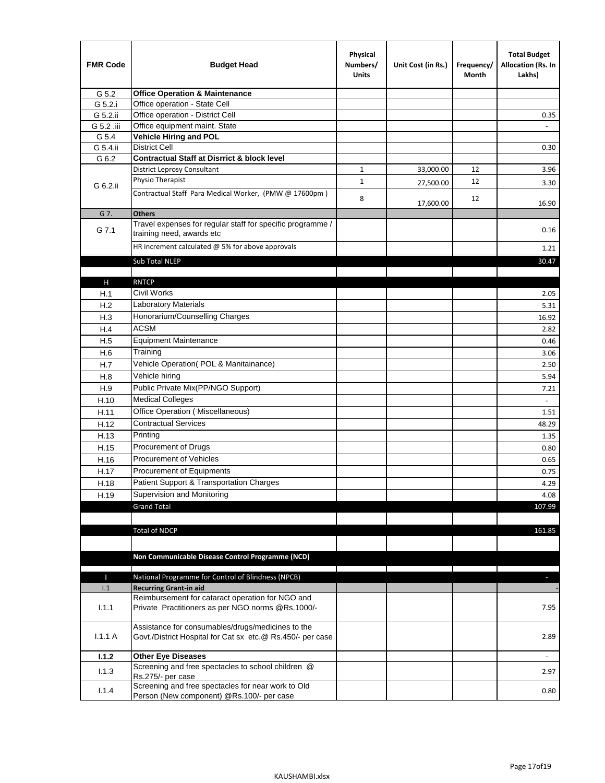| <b>FMR Code</b> | <b>Budget Head</b>                                                                                              | Physical<br>Numbers/<br><b>Units</b> | Unit Cost (in Rs.) | Frequency/<br>Month | <b>Total Budget</b><br>Allocation (Rs. In<br>Lakhs) |
|-----------------|-----------------------------------------------------------------------------------------------------------------|--------------------------------------|--------------------|---------------------|-----------------------------------------------------|
| G 5.2           | <b>Office Operation &amp; Maintenance</b>                                                                       |                                      |                    |                     |                                                     |
| G 5.2.i         | Office operation - State Cell                                                                                   |                                      |                    |                     |                                                     |
| G 5.2.ii        | Office operation - District Cell                                                                                |                                      |                    |                     | 0.35                                                |
| G 5.2 .iii      | Office equipment maint. State                                                                                   |                                      |                    |                     |                                                     |
| G 5.4           | <b>Vehicle Hiring and POL</b>                                                                                   |                                      |                    |                     |                                                     |
| G 5.4.ii        | <b>District Cell</b>                                                                                            |                                      |                    |                     | 0.30                                                |
| G 6.2           | <b>Contractual Staff at Disrrict &amp; block level</b>                                                          |                                      |                    |                     |                                                     |
|                 | <b>District Leprosy Consultant</b>                                                                              | $\mathbf{1}$                         | 33,000.00          | 12                  | 3.96                                                |
| G 6.2.ii        | Physio Therapist                                                                                                | $\mathbf{1}$                         | 27,500.00          | 12                  | 3.30                                                |
|                 | Contractual Staff Para Medical Worker, (PMW @ 17600pm)                                                          | 8                                    | 17,600.00          | 12                  | 16.90                                               |
| G 7.            | <b>Others</b>                                                                                                   |                                      |                    |                     |                                                     |
| G 7.1           | Travel expenses for regular staff for specific programme /<br>training need, awards etc                         |                                      |                    |                     | 0.16                                                |
|                 | HR increment calculated $@$ 5% for above approvals                                                              |                                      |                    |                     | 1.21                                                |
|                 | Sub Total NLEP                                                                                                  |                                      |                    |                     | 30.47                                               |
|                 |                                                                                                                 |                                      |                    |                     |                                                     |
| $\mathsf{H}$    | <b>RNTCP</b>                                                                                                    |                                      |                    |                     |                                                     |
| H.1             | <b>Civil Works</b>                                                                                              |                                      |                    |                     | 2.05                                                |
| H.2             | Laboratory Materials                                                                                            |                                      |                    |                     | 5.31                                                |
| H.3             | Honorarium/Counselling Charges                                                                                  |                                      |                    |                     | 16.92                                               |
| H.4             | <b>ACSM</b>                                                                                                     |                                      |                    |                     | 2.82                                                |
| H.5             | <b>Equipment Maintenance</b>                                                                                    |                                      |                    |                     | 0.46                                                |
| H.6             | Training                                                                                                        |                                      |                    |                     | 3.06                                                |
| H.7             | Vehicle Operation(POL & Manitainance)                                                                           |                                      |                    |                     | 2.50                                                |
| H.8             | Vehicle hiring                                                                                                  |                                      |                    |                     | 5.94                                                |
| H.9             | Public Private Mix(PP/NGO Support)                                                                              |                                      |                    |                     | 7.21                                                |
| H.10            | <b>Medical Colleges</b>                                                                                         |                                      |                    |                     | $\sim$                                              |
| H.11            | Office Operation (Miscellaneous)                                                                                |                                      |                    |                     | 1.51                                                |
| H.12            | <b>Contractual Services</b>                                                                                     |                                      |                    |                     | 48.29                                               |
| H.13            | Printing                                                                                                        |                                      |                    |                     | 1.35                                                |
| H.15            | Procurement of Drugs                                                                                            |                                      |                    |                     | 0.80                                                |
| H.16            | Procurement of Vehicles                                                                                         |                                      |                    |                     | 0.65                                                |
| H.17            | Procurement of Equipments                                                                                       |                                      |                    |                     | 0.75                                                |
| H.18            | Patient Support & Transportation Charges                                                                        |                                      |                    |                     | 4.29                                                |
| H.19            | Supervision and Monitoring                                                                                      |                                      |                    |                     | 4.08                                                |
|                 | <b>Grand Total</b>                                                                                              |                                      |                    |                     | 107.99                                              |
|                 |                                                                                                                 |                                      |                    |                     |                                                     |
|                 | <b>Total of NDCP</b>                                                                                            |                                      |                    |                     | 161.85                                              |
|                 | Non Communicable Disease Control Programme (NCD)                                                                |                                      |                    |                     |                                                     |
|                 |                                                                                                                 |                                      |                    |                     |                                                     |
| Ш               | National Programme for Control of Blindness (NPCB)                                                              |                                      |                    |                     | ÷.                                                  |
| 1.1             | <b>Recurring Grant-in aid</b><br>Reimbursement for cataract operation for NGO and                               |                                      |                    |                     |                                                     |
| 1.1.1           | Private Practitioners as per NGO norms @Rs.1000/-                                                               |                                      |                    |                     | 7.95                                                |
| 1.1.1A          | Assistance for consumables/drugs/medicines to the<br>Govt./District Hospital for Cat sx etc.@ Rs.450/- per case |                                      |                    |                     | 2.89                                                |
| 1.1.2           | <b>Other Eye Diseases</b>                                                                                       |                                      |                    |                     |                                                     |
|                 | Screening and free spectacles to school children @                                                              |                                      |                    |                     |                                                     |
| 1.1.3           | Rs.275/- per case                                                                                               |                                      |                    |                     | 2.97                                                |
| 1.1.4           | Screening and free spectacles for near work to Old<br>Person (New component) @Rs.100/- per case                 |                                      |                    |                     | 0.80                                                |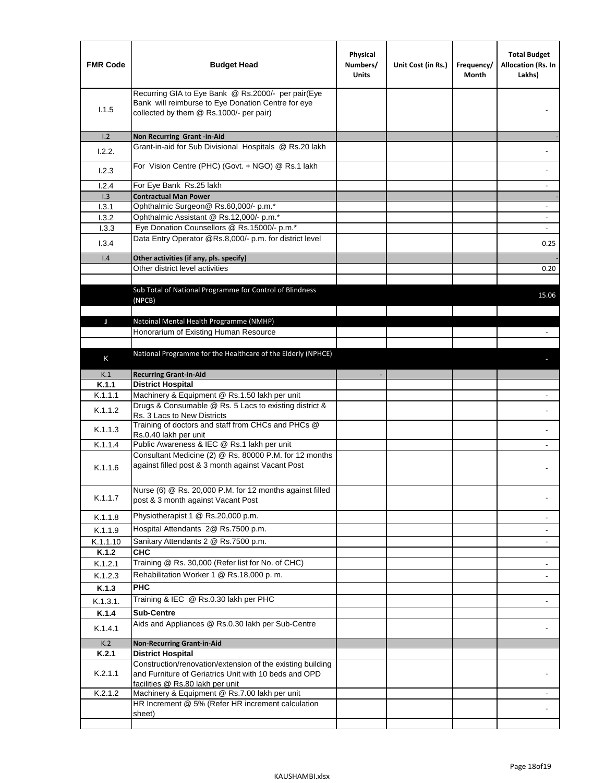| <b>FMR Code</b>  | <b>Budget Head</b>                                                                                                                                      | Physical<br>Numbers/<br><b>Units</b> | Unit Cost (in Rs.) | Frequency/<br>Month | <b>Total Budget</b><br>Allocation (Rs. In<br>Lakhs) |
|------------------|---------------------------------------------------------------------------------------------------------------------------------------------------------|--------------------------------------|--------------------|---------------------|-----------------------------------------------------|
| 1.1.5            | Recurring GIA to Eye Bank @ Rs.2000/- per pair(Eye<br>Bank will reimburse to Eye Donation Centre for eye<br>collected by them @ Rs.1000/- per pair)     |                                      |                    |                     |                                                     |
| 1.2              | Non Recurring Grant -in-Aid                                                                                                                             |                                      |                    |                     |                                                     |
| 1.2.2.           | Grant-in-aid for Sub Divisional Hospitals @ Rs.20 lakh                                                                                                  |                                      |                    |                     |                                                     |
| 1.2.3            | For Vision Centre (PHC) (Govt. + NGO) @ Rs.1 lakh                                                                                                       |                                      |                    |                     |                                                     |
| 1.2.4            | For Eye Bank Rs.25 lakh                                                                                                                                 |                                      |                    |                     | $\overline{\phantom{a}}$                            |
| 1.3              | <b>Contractual Man Power</b>                                                                                                                            |                                      |                    |                     |                                                     |
| 1.3.1            | Ophthalmic Surgeon@ Rs.60,000/- p.m.*                                                                                                                   |                                      |                    |                     | $\overline{\phantom{a}}$                            |
| 1.3.2            | Ophthalmic Assistant @ Rs.12,000/- p.m.*                                                                                                                |                                      |                    |                     |                                                     |
| 1.3.3            | Eye Donation Counsellors @ Rs.15000/- p.m.*                                                                                                             |                                      |                    |                     | $\sim$                                              |
| 1.3.4            | Data Entry Operator @Rs.8,000/- p.m. for district level                                                                                                 |                                      |                    |                     | 0.25                                                |
| 1.4              | Other activities (if any, pls. specify)                                                                                                                 |                                      |                    |                     |                                                     |
|                  | Other district level activities                                                                                                                         |                                      |                    |                     | 0.20                                                |
|                  |                                                                                                                                                         |                                      |                    |                     |                                                     |
|                  | Sub Total of National Programme for Control of Blindness                                                                                                |                                      |                    |                     | 15.06                                               |
|                  | (NPCB)                                                                                                                                                  |                                      |                    |                     |                                                     |
|                  |                                                                                                                                                         |                                      |                    |                     |                                                     |
| J                | Natoinal Mental Health Programme (NMHP)                                                                                                                 |                                      |                    |                     |                                                     |
|                  | Honorarium of Existing Human Resource                                                                                                                   |                                      |                    |                     |                                                     |
|                  |                                                                                                                                                         |                                      |                    |                     |                                                     |
| Κ                | National Programme for the Healthcare of the Elderly (NPHCE)                                                                                            |                                      |                    |                     |                                                     |
|                  |                                                                                                                                                         |                                      |                    |                     |                                                     |
| K.1              | <b>Recurring Grant-in-Aid</b>                                                                                                                           |                                      |                    |                     |                                                     |
| K.1.1<br>K.1.1.1 | <b>District Hospital</b>                                                                                                                                |                                      |                    |                     |                                                     |
|                  | Machinery & Equipment @ Rs.1.50 lakh per unit<br>Drugs & Consumable @ Rs. 5 Lacs to existing district &                                                 |                                      |                    |                     |                                                     |
| K.1.1.2          | Rs. 3 Lacs to New Districts                                                                                                                             |                                      |                    |                     |                                                     |
|                  | Training of doctors and staff from CHCs and PHCs @                                                                                                      |                                      |                    |                     |                                                     |
| K.1.1.3          | Rs.0.40 lakh per unit                                                                                                                                   |                                      |                    |                     |                                                     |
| K.1.1.4          | Public Awareness & IEC @ Rs.1 lakh per unit                                                                                                             |                                      |                    |                     |                                                     |
| K.1.1.6          | Consultant Medicine (2) @ Rs. 80000 P.M. for 12 months<br>against filled post & 3 month against Vacant Post                                             |                                      |                    |                     |                                                     |
| K.1.1.7          | Nurse (6) @ Rs. 20,000 P.M. for 12 months against filled<br>post & 3 month against Vacant Post                                                          |                                      |                    |                     |                                                     |
| K.1.1.8          | Physiotherapist 1 @ Rs.20,000 p.m.                                                                                                                      |                                      |                    |                     | $\overline{\phantom{a}}$                            |
|                  | Hospital Attendants 2@ Rs.7500 p.m.                                                                                                                     |                                      |                    |                     |                                                     |
| K.1.1.9          |                                                                                                                                                         |                                      |                    |                     |                                                     |
| K.1.1.10         | Sanitary Attendants 2 @ Rs.7500 p.m.<br><b>CHC</b>                                                                                                      |                                      |                    |                     | $\overline{\phantom{a}}$                            |
| K.1.2            |                                                                                                                                                         |                                      |                    |                     |                                                     |
| K.1.2.1          | Training @ Rs. 30,000 (Refer list for No. of CHC)                                                                                                       |                                      |                    |                     |                                                     |
| K.1.2.3          | Rehabilitation Worker 1 @ Rs.18,000 p. m.                                                                                                               |                                      |                    |                     |                                                     |
| K.1.3            | <b>PHC</b>                                                                                                                                              |                                      |                    |                     |                                                     |
| K.1.3.1.         | Training & IEC @ Rs.0.30 lakh per PHC                                                                                                                   |                                      |                    |                     |                                                     |
| K.1.4            | <b>Sub-Centre</b>                                                                                                                                       |                                      |                    |                     |                                                     |
| K.1.4.1          | Aids and Appliances @ Rs.0.30 lakh per Sub-Centre                                                                                                       |                                      |                    |                     |                                                     |
| K.2              | <b>Non-Recurring Grant-in-Aid</b>                                                                                                                       |                                      |                    |                     |                                                     |
| K.2.1            | <b>District Hospital</b>                                                                                                                                |                                      |                    |                     |                                                     |
| K.2.1.1          | Construction/renovation/extension of the existing building<br>and Furniture of Geriatrics Unit with 10 beds and OPD<br>facilities @ Rs.80 lakh per unit |                                      |                    |                     |                                                     |
| K.2.1.2          | Machinery & Equipment @ Rs.7.00 lakh per unit                                                                                                           |                                      |                    |                     |                                                     |
|                  | HR Increment @ 5% (Refer HR increment calculation                                                                                                       |                                      |                    |                     |                                                     |
|                  | sheet)                                                                                                                                                  |                                      |                    |                     |                                                     |
|                  |                                                                                                                                                         |                                      |                    |                     |                                                     |